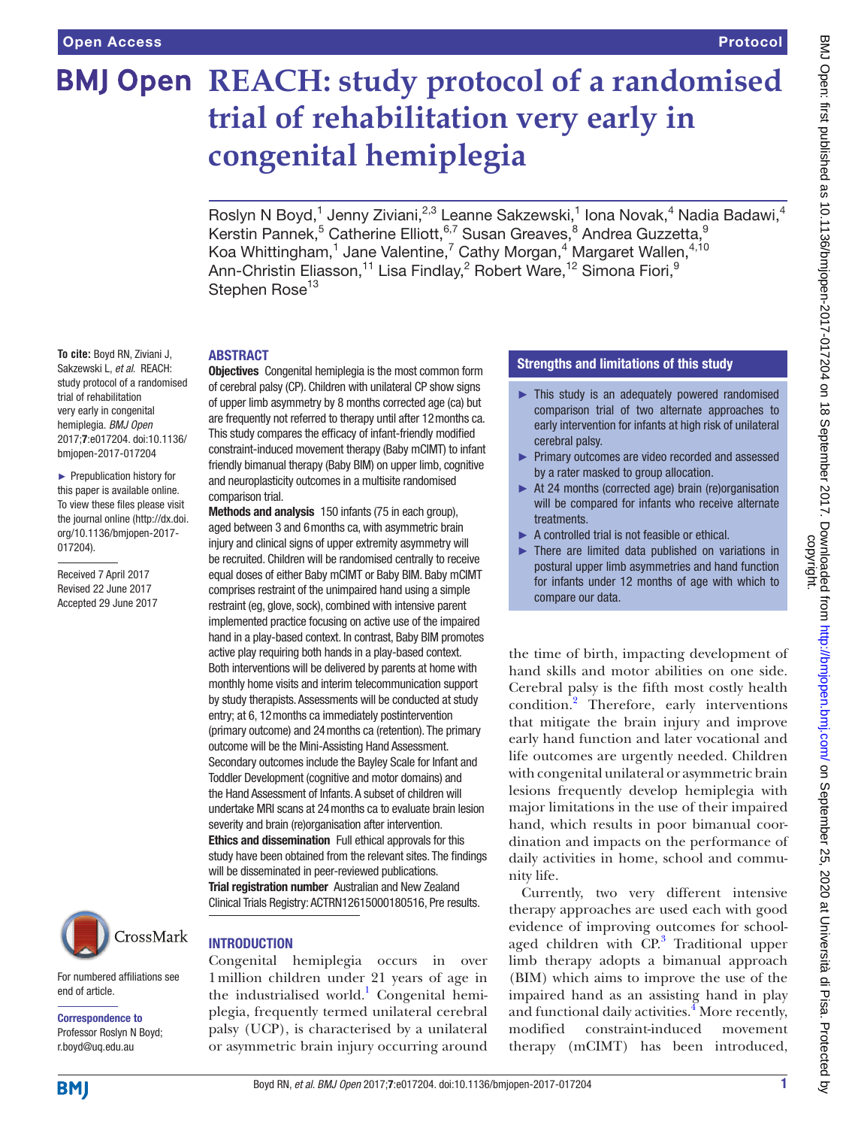**To cite:** Boyd RN, Ziviani J, Sakzewski L, *et al*. REACH: study protocol of a randomised trial of rehabilitation very early in congenital hemiplegia. *BMJ Open* 2017;7:e017204. doi:10.1136/ bmjopen-2017-017204 ► Prepublication history for this paper is available online. To view these files please visit the journal online [\(http://dx.doi.](http://dx.doi.org/10.1136/bmjopen-2017-017204) [org/10.1136/bmjopen-2017-](http://dx.doi.org/10.1136/bmjopen-2017-017204)

[017204\)](http://dx.doi.org/10.1136/bmjopen-2017-017204).

Received 7 April 2017 Revised 22 June 2017 Accepted 29 June 2017

# **BMJ Open REACH: study protocol of a randomised trial of rehabilitation very early in congenital hemiplegia**

Roslyn N Boyd,<sup>1</sup> Jenny Ziviani,<sup>2,3</sup> Leanne Sakzewski,<sup>1</sup> Iona Novak,<sup>4</sup> Nadia Badawi,<sup>4</sup> Kerstin Pannek,<sup>5</sup> Catherine Elliott, <sup>6,7</sup> Susan Greaves, <sup>8</sup> Andrea Guzzetta, <sup>9</sup> Koa Whittingham,<sup>1</sup> Jane Valentine,<sup>7</sup> Cathy Morgan,<sup>4</sup> Margaret Wallen,<sup>4,10</sup> Ann-Christin Eliasson,<sup>11</sup> Lisa Findlay,<sup>2</sup> Robert Ware,<sup>12</sup> Simona Fiori,<sup>9</sup> Stephen Rose<sup>13</sup>

# **ABSTRACT**

**Objectives** Congenital hemiplegia is the most common form of cerebral palsy (CP). Children with unilateral CP show signs of upper limb asymmetry by 8 months corrected age (ca) but are frequently not referred to therapy until after 12months ca. This study compares the efficacy of infant-friendly modified constraint-induced movement therapy (Baby mCIMT) to infant friendly bimanual therapy (Baby BIM) on upper limb, cognitive and neuroplasticity outcomes in a multisite randomised comparison trial.

Methods and analysis 150 infants (75 in each group), aged between 3 and 6months ca, with asymmetric brain injury and clinical signs of upper extremity asymmetry will be recruited. Children will be randomised centrally to receive equal doses of either Baby mCIMT or Baby BIM. Baby mCIMT comprises restraint of the unimpaired hand using a simple restraint (eg, glove, sock), combined with intensive parent implemented practice focusing on active use of the impaired hand in a play-based context. In contrast, Baby BIM promotes active play requiring both hands in a play-based context. Both interventions will be delivered by parents at home with monthly home visits and interim telecommunication support by study therapists. Assessments will be conducted at study entry; at 6, 12months ca immediately postintervention (primary outcome) and 24months ca (retention). The primary outcome will be the Mini-Assisting Hand Assessment. Secondary outcomes include the Bayley Scale for Infant and Toddler Development (cognitive and motor domains) and the Hand Assessment of Infants. A subset of children will undertake MRI scans at 24months ca to evaluate brain lesion severity and brain (re)organisation after intervention. Ethics and dissemination Full ethical approvals for this study have been obtained from the relevant sites. The findings will be disseminated in peer-reviewed publications. Trial registration number Australian and New Zealand Clinical Trials Registry: ACTRN12615000180516, Pre results.



For numbered affiliations see end of article.

Correspondence to Professor Roslyn N Boyd; r.boyd@uq.edu.au

# **INTRODUCTION**

Congenital hemiplegia occurs in over 1million children under 21 years of age in the industrialised world.<sup>1</sup> Congenital hemiplegia, frequently termed unilateral cerebral palsy (UCP), is characterised by a unilateral or asymmetric brain injury occurring around

# Strengths and limitations of this study

- ► This study is an adequately powered randomised comparison trial of two alternate approaches to early intervention for infants at high risk of unilateral cerebral palsy.
- ► Primary outcomes are video recorded and assessed by a rater masked to group allocation.
- At 24 months (corrected age) brain (re)organisation will be compared for infants who receive alternate treatments.
- ► A controlled trial is not feasible or ethical.
- ► There are limited data published on variations in postural upper limb asymmetries and hand function for infants under 12 months of age with which to compare our data.

the time of birth, impacting development of hand skills and motor abilities on one side. Cerebral palsy is the fifth most costly health condition[.2](#page-15-1) Therefore, early interventions that mitigate the brain injury and improve early hand function and later vocational and life outcomes are urgently needed. Children with congenital unilateral or asymmetric brain lesions frequently develop hemiplegia with major limitations in the use of their impaired hand, which results in poor bimanual coordination and impacts on the performance of daily activities in home, school and community life.

Currently, two very different intensive therapy approaches are used each with good evidence of improving outcomes for school-aged children with CP.<sup>[3](#page-15-2)</sup> Traditional upper limb therapy adopts a bimanual approach (BIM) which aims to improve the use of the impaired hand as an assisting hand in play and functional daily activities. $4$  More recently, modified constraint-induced movement therapy (mCIMT) has been introduced,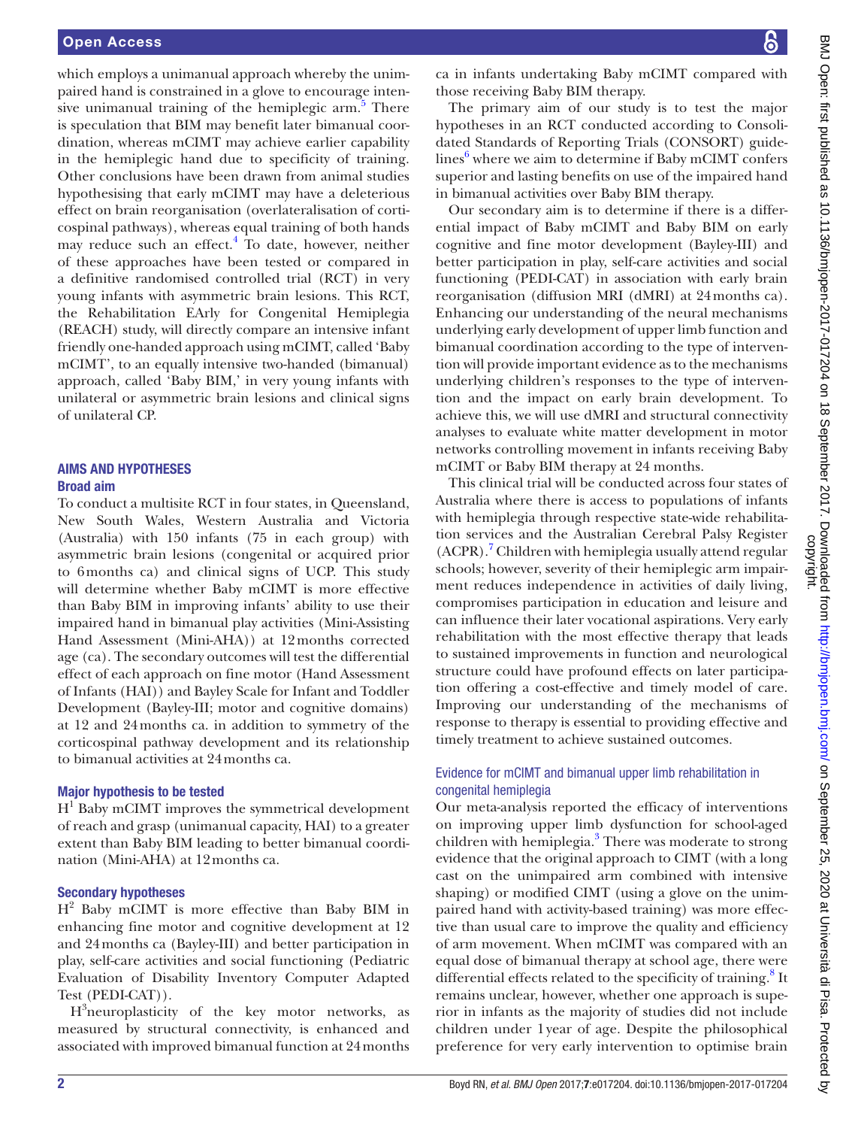which employs a unimanual approach whereby the unimpaired hand is constrained in a glove to encourage inten-sive unimanual training of the hemiplegic arm.<sup>[5](#page-15-4)</sup> There is speculation that BIM may benefit later bimanual coordination, whereas mCIMT may achieve earlier capability in the hemiplegic hand due to specificity of training. Other conclusions have been drawn from animal studies hypothesising that early mCIMT may have a deleterious effect on brain reorganisation (overlateralisation of corticospinal pathways), whereas equal training of both hands may reduce such an effect.<sup>4</sup> To date, however, neither of these approaches have been tested or compared in a definitive randomised controlled trial (RCT) in very young infants with asymmetric brain lesions. This RCT, the Rehabilitation EArly for Congenital Hemiplegia (REACH) study, will directly compare an intensive infant friendly one-handed approach using mCIMT, called 'Baby mCIMT', to an equally intensive two-handed (bimanual) approach, called 'Baby BIM,' in very young infants with unilateral or asymmetric brain lesions and clinical signs of unilateral CP.

## Aims and hypotheses Broad aim

To conduct a multisite RCT in four states, in Queensland, New South Wales, Western Australia and Victoria (Australia) with 150 infants (75 in each group) with asymmetric brain lesions (congenital or acquired prior to 6months ca) and clinical signs of UCP. This study will determine whether Baby mCIMT is more effective than Baby BIM in improving infants' ability to use their impaired hand in bimanual play activities (Mini-Assisting Hand Assessment (Mini-AHA)) at 12months corrected age (ca). The secondary outcomes will test the differential effect of each approach on fine motor (Hand Assessment of Infants (HAI)) and Bayley Scale for Infant and Toddler Development (Bayley-III; motor and cognitive domains) at 12 and 24months ca. in addition to symmetry of the corticospinal pathway development and its relationship to bimanual activities at 24months ca.

#### Major hypothesis to be tested

 $H<sup>1</sup>$  Baby mCIMT improves the symmetrical development of reach and grasp (unimanual capacity, HAI) to a greater extent than Baby BIM leading to better bimanual coordination (Mini-AHA) at 12months ca.

#### Secondary hypotheses

H<sup>2</sup> Baby mCIMT is more effective than Baby BIM in enhancing fine motor and cognitive development at 12 and 24months ca (Bayley-III) and better participation in play, self-care activities and social functioning (Pediatric Evaluation of Disability Inventory Computer Adapted Test (PEDI-CAT)).

H<sup>3</sup>neuroplasticity of the key motor networks, as measured by structural connectivity, is enhanced and associated with improved bimanual function at 24months

ca in infants undertaking Baby mCIMT compared with those receiving Baby BIM therapy.

The primary aim of our study is to test the major hypotheses in an RCT conducted according to Consolidated Standards of Reporting Trials (CONSORT) guide-lines<sup>[6](#page-15-5)</sup> where we aim to determine if Baby mCIMT confers superior and lasting benefits on use of the impaired hand in bimanual activities over Baby BIM therapy.

Our secondary aim is to determine if there is a differential impact of Baby mCIMT and Baby BIM on early cognitive and fine motor development (Bayley-III) and better participation in play, self-care activities and social functioning (PEDI-CAT) in association with early brain reorganisation (diffusion MRI (dMRI) at 24months ca). Enhancing our understanding of the neural mechanisms underlying early development of upper limb function and bimanual coordination according to the type of intervention will provide important evidence as to the mechanisms underlying children's responses to the type of intervention and the impact on early brain development. To achieve this, we will use dMRI and structural connectivity analyses to evaluate white matter development in motor networks controlling movement in infants receiving Baby mCIMT or Baby BIM therapy at 24 months.

This clinical trial will be conducted across four states of Australia where there is access to populations of infants with hemiplegia through respective state-wide rehabilitation services and the Australian Cerebral Palsy Register (ACPR).<sup>[7](#page-15-6)</sup> Children with hemiplegia usually attend regular schools; however, severity of their hemiplegic arm impairment reduces independence in activities of daily living, compromises participation in education and leisure and can influence their later vocational aspirations. Very early rehabilitation with the most effective therapy that leads to sustained improvements in function and neurological structure could have profound effects on later participation offering a cost-effective and timely model of care. Improving our understanding of the mechanisms of response to therapy is essential to providing effective and timely treatment to achieve sustained outcomes.

# Evidence for mCIMT and bimanual upper limb rehabilitation in congenital hemiplegia

Our meta-analysis reported the efficacy of interventions on improving upper limb dysfunction for school-aged children with hemiplegia.<sup>[3](#page-15-2)</sup> There was moderate to strong evidence that the original approach to CIMT (with a long cast on the unimpaired arm combined with intensive shaping) or modified CIMT (using a glove on the unimpaired hand with activity-based training) was more effective than usual care to improve the quality and efficiency of arm movement. When mCIMT was compared with an equal dose of bimanual therapy at school age, there were differential effects related to the specificity of training.<sup>8</sup> It remains unclear, however, whether one approach is superior in infants as the majority of studies did not include children under 1year of age. Despite the philosophical preference for very early intervention to optimise brain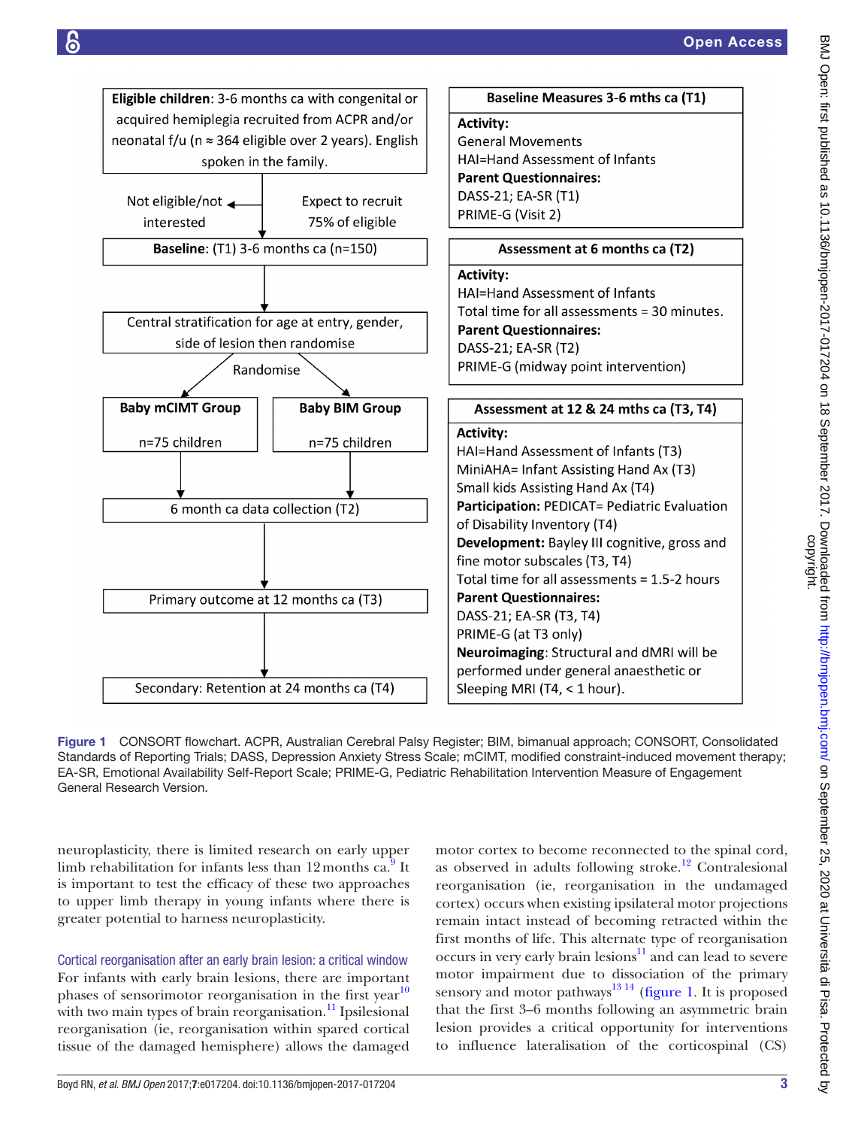

<span id="page-2-0"></span>Figure 1 CONSORT flowchart. ACPR, Australian Cerebral Palsy Register; BIM, bimanual approach; CONSORT, Consolidated Standards of Reporting Trials; DASS, Depression Anxiety Stress Scale; mCIMT, modified constraint-induced movement therapy; EA-SR, Emotional Availability Self-Report Scale; PRIME-G, Pediatric Rehabilitation Intervention Measure of Engagement General Research Version.

neuroplasticity, there is limited research on early upper limb rehabilitation for infants less than  $12$  months ca.<sup>[9](#page-15-8)</sup> It is important to test the efficacy of these two approaches to upper limb therapy in young infants where there is greater potential to harness neuroplasticity.

Cortical reorganisation after an early brain lesion: a critical window For infants with early brain lesions, there are important phases of sensorimotor reorganisation in the first year<sup>[10](#page-15-9)</sup> with two main types of brain reorganisation. $^{11}$  Ipsilesional reorganisation (ie, reorganisation within spared cortical tissue of the damaged hemisphere) allows the damaged motor cortex to become reconnected to the spinal cord, as observed in adults following stroke.<sup>12</sup> Contralesional reorganisation (ie, reorganisation in the undamaged cortex) occurs when existing ipsilateral motor projections remain intact instead of becoming retracted within the first months of life. This alternate type of reorganisation occurs in very early brain lesions $11$  and can lead to severe motor impairment due to dissociation of the primary sensory and motor pathways<sup>13 14</sup> [\(figure](#page-2-0) 1. It is proposed that the first 3–6 months following an asymmetric brain lesion provides a critical opportunity for interventions to influence lateralisation of the corticospinal (CS)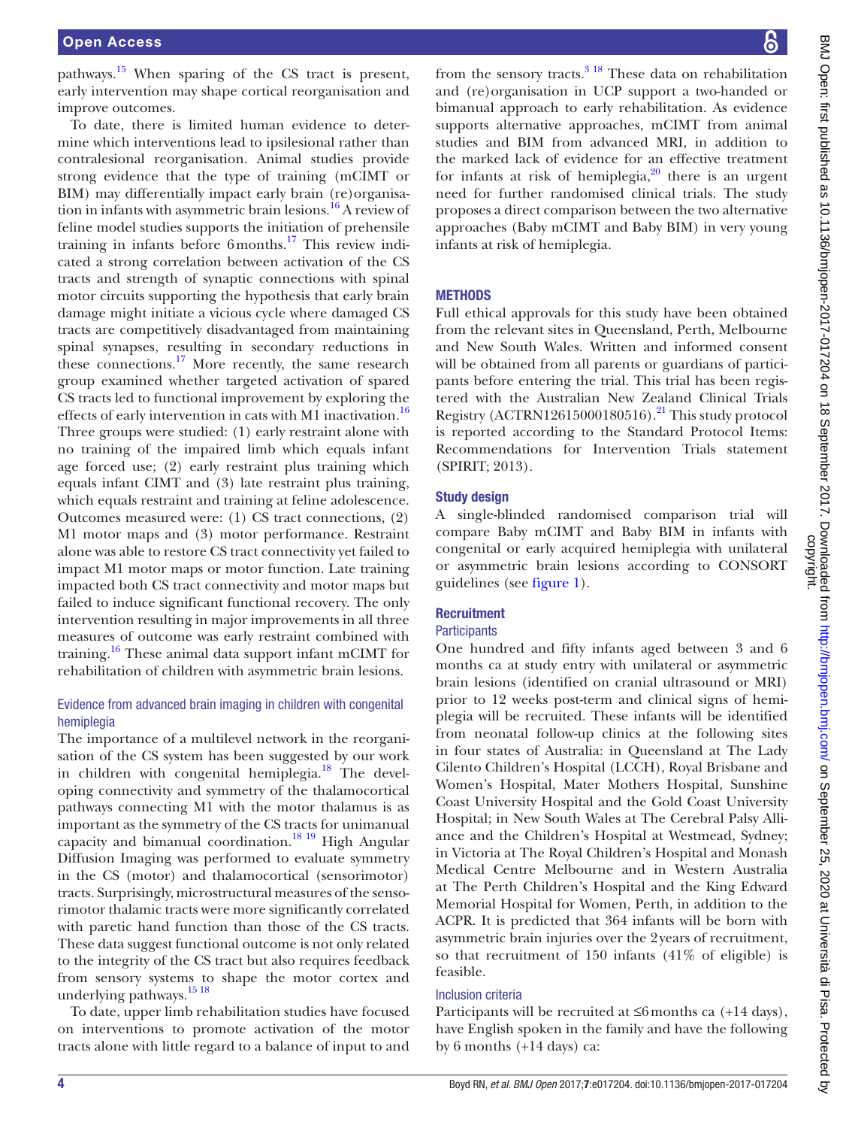pathways.[15](#page-15-13) When sparing of the CS tract is present, early intervention may shape cortical reorganisation and improve outcomes.

To date, there is limited human evidence to determine which interventions lead to ipsilesional rather than contralesional reorganisation. Animal studies provide strong evidence that the type of training (mCIMT or BIM) may differentially impact early brain (re)organisa-tion in infants with asymmetric brain lesions.<sup>[16](#page-15-14)</sup> A review of feline model studies supports the initiation of prehensile training in infants before 6 months.<sup>17</sup> This review indicated a strong correlation between activation of the CS tracts and strength of synaptic connections with spinal motor circuits supporting the hypothesis that early brain damage might initiate a vicious cycle where damaged CS tracts are competitively disadvantaged from maintaining spinal synapses, resulting in secondary reductions in these connections.<sup>17</sup> More recently, the same research group examined whether targeted activation of spared CS tracts led to functional improvement by exploring the effects of early intervention in cats with M1 inactivation.<sup>[16](#page-15-14)</sup> Three groups were studied: (1) early restraint alone with no training of the impaired limb which equals infant age forced use; (2) early restraint plus training which equals infant CIMT and (3) late restraint plus training, which equals restraint and training at feline adolescence. Outcomes measured were: (1) CS tract connections, (2) M1 motor maps and (3) motor performance. Restraint alone was able to restore CS tract connectivity yet failed to impact M1 motor maps or motor function. Late training impacted both CS tract connectivity and motor maps but failed to induce significant functional recovery. The only intervention resulting in major improvements in all three measures of outcome was early restraint combined with training.<sup>16</sup> These animal data support infant mCIMT for rehabilitation of children with asymmetric brain lesions.

# Evidence from advanced brain imaging in children with congenital hemiplegia

The importance of a multilevel network in the reorganisation of the CS system has been suggested by our work in children with congenital hemiplegia. $18$  The developing connectivity and symmetry of the thalamocortical pathways connecting M1 with the motor thalamus is as important as the symmetry of the CS tracts for unimanual capacity and bimanual coordination.<sup>[18 19](#page-15-16)</sup> High Angular Diffusion Imaging was performed to evaluate symmetry in the CS (motor) and thalamocortical (sensorimotor) tracts. Surprisingly, microstructural measures of the sensorimotor thalamic tracts were more significantly correlated with paretic hand function than those of the CS tracts. These data suggest functional outcome is not only related to the integrity of the CS tract but also requires feedback from sensory systems to shape the motor cortex and underlying pathways.<sup>[15 18](#page-15-13)</sup>

To date, upper limb rehabilitation studies have focused on interventions to promote activation of the motor tracts alone with little regard to a balance of input to and

from the sensory tracts. $3^{18}$  These data on rehabilitation and (re)organisation in UCP support a two-handed or bimanual approach to early rehabilitation. As evidence supports alternative approaches, mCIMT from animal studies and BIM from advanced MRI, in addition to the marked lack of evidence for an effective treatment for infants at risk of hemiplegia, $20$  there is an urgent need for further randomised clinical trials. The study proposes a direct comparison between the two alternative approaches (Baby mCIMT and Baby BIM) in very young infants at risk of hemiplegia.

# **METHODS**

Full ethical approvals for this study have been obtained from the relevant sites in Queensland, Perth, Melbourne and New South Wales. Written and informed consent will be obtained from all parents or guardians of participants before entering the trial. This trial has been registered with the Australian New Zealand Clinical Trials Registry (ACTRN12615000180516).<sup>21</sup> This study protocol is reported according to the Standard Protocol Items: Recommendations for Intervention Trials statement (SPIRIT; 2013).

# Study design

A single-blinded randomised comparison trial will compare Baby mCIMT and Baby BIM in infants with congenital or early acquired hemiplegia with unilateral or asymmetric brain lesions according to CONSORT guidelines (see [figure](#page-2-0) 1).

# **Recruitment**

# **Participants**

One hundred and fifty infants aged between 3 and 6 months ca at study entry with unilateral or asymmetric brain lesions (identified on cranial ultrasound or MRI) prior to 12 weeks post-term and clinical signs of hemiplegia will be recruited. These infants will be identified from neonatal follow-up clinics at the following sites in four states of Australia: in Queensland at The Lady Cilento Children's Hospital (LCCH), Royal Brisbane and Women's Hospital, Mater Mothers Hospital, Sunshine Coast University Hospital and the Gold Coast University Hospital; in New South Wales at The Cerebral Palsy Alliance and the Children's Hospital at Westmead, Sydney; in Victoria at The Royal Children's Hospital and Monash Medical Centre Melbourne and in Western Australia at The Perth Children's Hospital and the King Edward Memorial Hospital for Women, Perth, in addition to the ACPR. It is predicted that 364 infants will be born with asymmetric brain injuries over the 2years of recruitment, so that recruitment of 150 infants (41% of eligible) is feasible.

# Inclusion criteria

Participants will be recruited at  $\leq 6$  months ca (+14 days), have English spoken in the family and have the following by 6 months (+14 days) ca: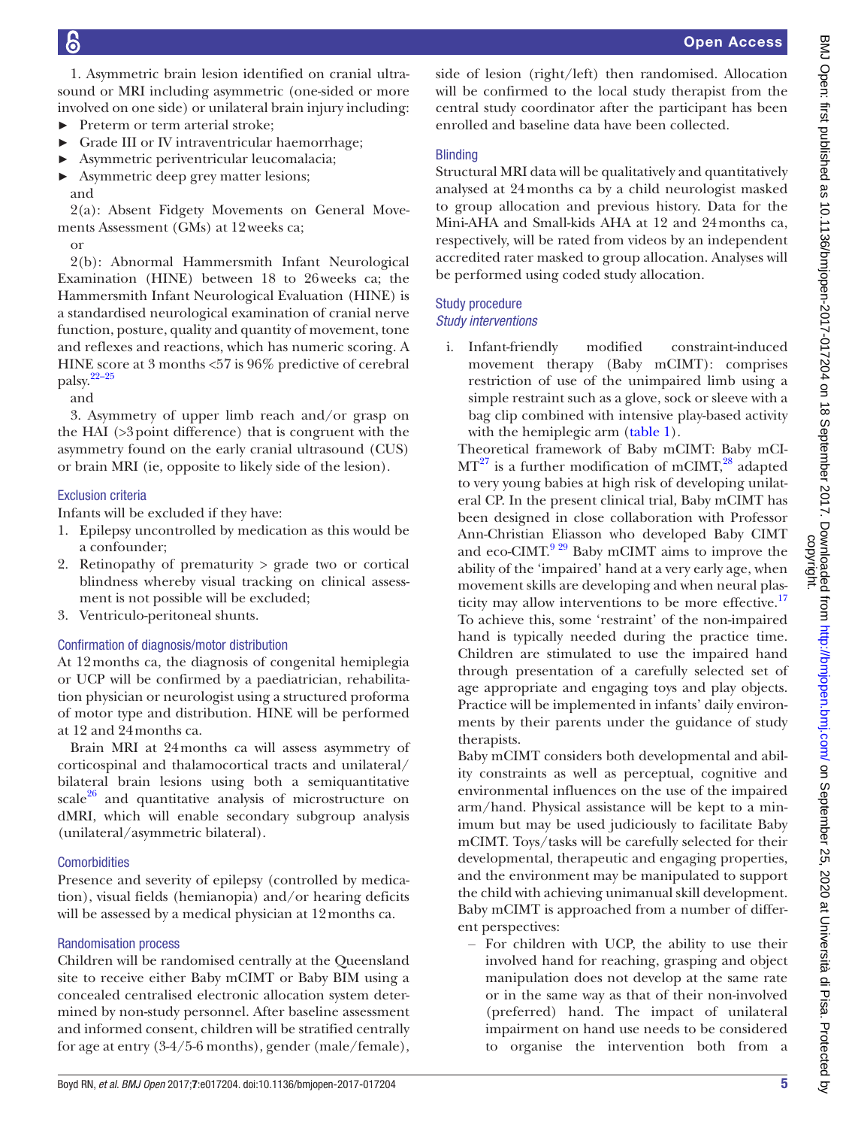1. Asymmetric brain lesion identified on cranial ultrasound or MRI including asymmetric (one-sided or more involved on one side) or unilateral brain injury including:

- ► Preterm or term arterial stroke;
- ► Grade III or IV intraventricular haemorrhage;
- ► Asymmetric periventricular leucomalacia;
- ► Asymmetric deep grey matter lesions; and

2(a): Absent Fidgety Movements on General Movements Assessment (GMs) at 12weeks ca;

or

2(b): Abnormal Hammersmith Infant Neurological Examination (HINE) between 18 to 26weeks ca; the Hammersmith Infant Neurological Evaluation (HINE) is a standardised neurological examination of cranial nerve function, posture, quality and quantity of movement, tone and reflexes and reactions, which has numeric scoring. A HINE score at 3 months <57 is 96% predictive of cerebral palsy.[22–25](#page-16-2)

and

3. Asymmetry of upper limb reach and/or grasp on the HAI (>3point difference) that is congruent with the asymmetry found on the early cranial ultrasound (CUS) or brain MRI (ie, opposite to likely side of the lesion).

# Exclusion criteria

Infants will be excluded if they have:

- 1. Epilepsy uncontrolled by medication as this would be a confounder;
- 2. Retinopathy of prematurity > grade two or cortical blindness whereby visual tracking on clinical assessment is not possible will be excluded;
- 3. Ventriculo-peritoneal shunts.

# Confirmation of diagnosis/motor distribution

At 12months ca, the diagnosis of congenital hemiplegia or UCP will be confirmed by a paediatrician, rehabilitation physician or neurologist using a structured proforma of motor type and distribution. HINE will be performed at 12 and 24months ca.

Brain MRI at 24months ca will assess asymmetry of corticospinal and thalamocortical tracts and unilateral/ bilateral brain lesions using both a semiquantitative  $scale<sup>26</sup>$  and quantitative analysis of microstructure on dMRI, which will enable secondary subgroup analysis (unilateral/asymmetric bilateral).

# **Comorbidities**

Presence and severity of epilepsy (controlled by medication), visual fields (hemianopia) and/or hearing deficits will be assessed by a medical physician at 12 months ca.

# Randomisation process

Children will be randomised centrally at the Queensland site to receive either Baby mCIMT or Baby BIM using a concealed centralised electronic allocation system determined by non-study personnel. After baseline assessment and informed consent, children will be stratified centrally for age at entry (3-4/5-6 months), gender (male/female),

side of lesion (right/left) then randomised. Allocation will be confirmed to the local study therapist from the central study coordinator after the participant has been enrolled and baseline data have been collected.

# **Blinding**

Structural MRI data will be qualitatively and quantitatively analysed at 24months ca by a child neurologist masked to group allocation and previous history. Data for the Mini-AHA and Small-kids AHA at 12 and 24months ca, respectively, will be rated from videos by an independent accredited rater masked to group allocation. Analyses will be performed using coded study allocation.

# Study procedure *Study interventions*

i. Infant-friendly modified constraint-induced movement therapy (Baby mCIMT): comprises restriction of use of the unimpaired limb using a simple restraint such as a glove, sock or sleeve with a bag clip combined with intensive play-based activity with the hemiplegic arm [\(table](#page-5-0) 1).

Theoretical framework of Baby mCIMT: Baby mCI- $MT^{27}$  is a further modification of mCIMT,<sup>28</sup> adapted to very young babies at high risk of developing unilateral CP. In the present clinical trial, Baby mCIMT has been designed in close collaboration with Professor Ann-Christian Eliasson who developed Baby CIMT and eco-CIMT. $929$  Baby mCIMT aims to improve the ability of the 'impaired' hand at a very early age, when movement skills are developing and when neural plas-ticity may allow interventions to be more effective.<sup>[17](#page-15-15)</sup> To achieve this, some 'restraint' of the non-impaired hand is typically needed during the practice time. Children are stimulated to use the impaired hand through presentation of a carefully selected set of age appropriate and engaging toys and play objects. Practice will be implemented in infants' daily environments by their parents under the guidance of study therapists.

Baby mCIMT considers both developmental and ability constraints as well as perceptual, cognitive and environmental influences on the use of the impaired arm/hand. Physical assistance will be kept to a minimum but may be used judiciously to facilitate Baby mCIMT. Toys/tasks will be carefully selected for their developmental, therapeutic and engaging properties, and the environment may be manipulated to support the child with achieving unimanual skill development. Baby mCIMT is approached from a number of different perspectives:

– For children with UCP, the ability to use their involved hand for reaching, grasping and object manipulation does not develop at the same rate or in the same way as that of their non-involved (preferred) hand. The impact of unilateral impairment on hand use needs to be considered to organise the intervention both from a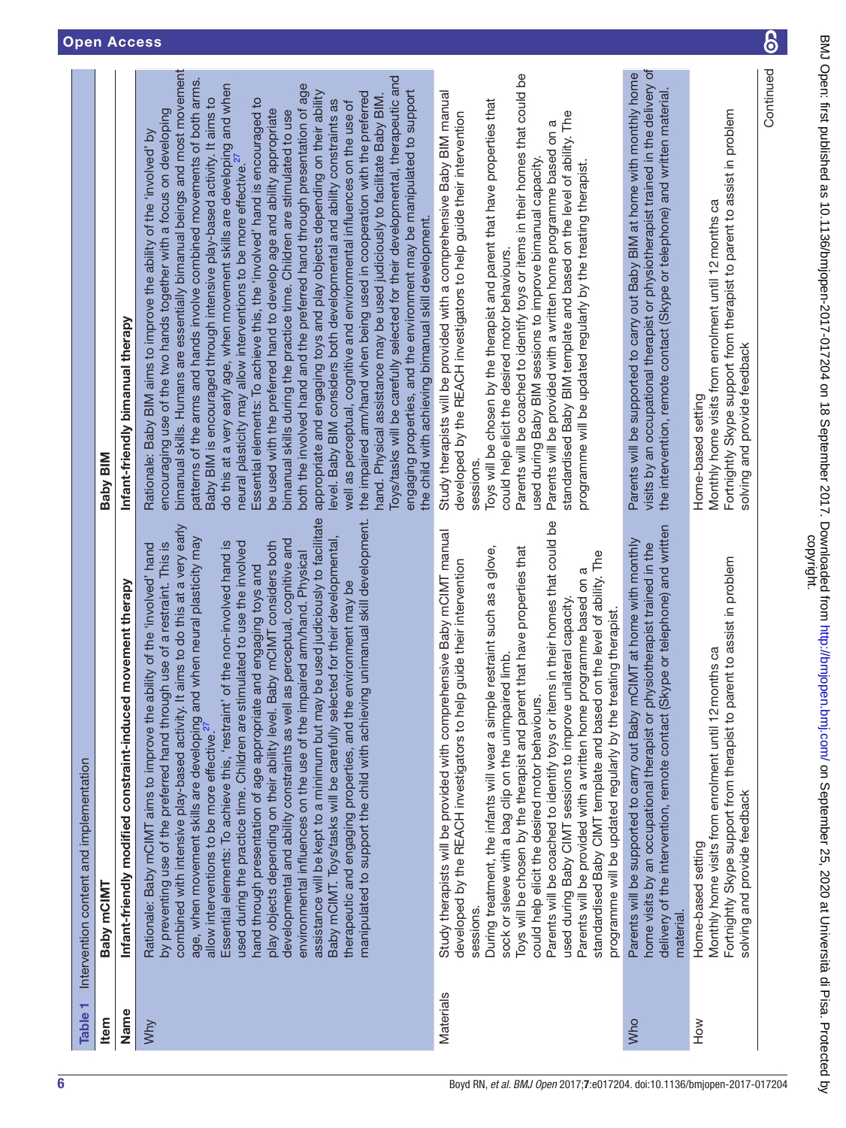<span id="page-5-0"></span>

| Table <sub>1</sub> | Intervention content and implementation                                                                                                                                                                                                                                                                                                                                                                                                                                                                                                                                                                                                                                                                                                                                                                                                                                                                                                                                                                                                                                                                                                                                                 |                                                                                                                                                                                                                                                                                                                                                                                                                                                                                                                                                                                                                                                                                                                                                                                                                                                                                                                                                                                                                                                                                                                                                                                                                                                                                                                                                                                                                                                                          |
|--------------------|-----------------------------------------------------------------------------------------------------------------------------------------------------------------------------------------------------------------------------------------------------------------------------------------------------------------------------------------------------------------------------------------------------------------------------------------------------------------------------------------------------------------------------------------------------------------------------------------------------------------------------------------------------------------------------------------------------------------------------------------------------------------------------------------------------------------------------------------------------------------------------------------------------------------------------------------------------------------------------------------------------------------------------------------------------------------------------------------------------------------------------------------------------------------------------------------|--------------------------------------------------------------------------------------------------------------------------------------------------------------------------------------------------------------------------------------------------------------------------------------------------------------------------------------------------------------------------------------------------------------------------------------------------------------------------------------------------------------------------------------------------------------------------------------------------------------------------------------------------------------------------------------------------------------------------------------------------------------------------------------------------------------------------------------------------------------------------------------------------------------------------------------------------------------------------------------------------------------------------------------------------------------------------------------------------------------------------------------------------------------------------------------------------------------------------------------------------------------------------------------------------------------------------------------------------------------------------------------------------------------------------------------------------------------------------|
| Item               | Baby mCIMT                                                                                                                                                                                                                                                                                                                                                                                                                                                                                                                                                                                                                                                                                                                                                                                                                                                                                                                                                                                                                                                                                                                                                                              | <b>Baby BIM</b>                                                                                                                                                                                                                                                                                                                                                                                                                                                                                                                                                                                                                                                                                                                                                                                                                                                                                                                                                                                                                                                                                                                                                                                                                                                                                                                                                                                                                                                          |
| Name               | Infant-friendly modified constraint-induced movement therapy                                                                                                                                                                                                                                                                                                                                                                                                                                                                                                                                                                                                                                                                                                                                                                                                                                                                                                                                                                                                                                                                                                                            | Infant-friendly bimanual therapy                                                                                                                                                                                                                                                                                                                                                                                                                                                                                                                                                                                                                                                                                                                                                                                                                                                                                                                                                                                                                                                                                                                                                                                                                                                                                                                                                                                                                                         |
| Why                | assistance will be kept to a minimum but may be used judiciously to facilitate<br>manipulated to support the child with achieving unimanual skill development.<br>It aims to do this at a very early<br>Baby mCIMT. Toys/tasks will be carefully selected for their developmental,<br>age, when movement skills are developing and when neural plasticity may<br>as perceptual, cognitive and<br>by preventing use of the preferred hand through use of a restraint. This is<br>Essential elements: To achieve this, 'restraint' of the non-involved hand is<br>Baby mCIMT considers both<br>used during the practice time. Children are stimulated to use the involved<br>ability of the 'involved' hand<br>environmental influences on the use of the impaired arm/hand. Physical<br>hand through presentation of age appropriate and engaging toys and<br>therapeutic and engaging properties, and the environment may be<br>developmental and ability constraints as well<br>Rationale: Baby mCIMT aims to improve the<br>combined with intensive play-based activity.<br>play objects depending on their ability level.<br>allow interventions to be more effective. <sup>27</sup> | bimanual skills. Humans are essentially bimanual beings and most movement<br>Toys/tasks will be carefully selected for their developmental, therapeutic and<br>patterns of the arms and hands involve combined movements of both arms.<br>do this at a very early age, when movement skills are developing and when<br>both the involved hand and the preferred hand through presentation of age<br>engaging properties, and the environment may be manipulated to support<br>appropriate and engaging toys and play objects depending on their ability<br>the impaired arm/hand when being used in cooperation with the preferred<br>hand. Physical assistance may be used judiciously to facilitate Baby BIM.<br>Baby BIM is encouraged through intensive play-based activity. It aims to<br>Essential elements: To achieve this, the 'involved' hand is encouraged to<br>level. Baby BIM considers both developmental and ability constraints as<br>well as perceptual, cognitive and environmental influences on the use of<br>encouraging use of the two hands together with a focus on developing<br>be used with the preferred hand to develop age and ability appropriate<br>bimanual skills during the practice time. Children are stimulated to use<br>Rationale: Baby BIM aims to improve the ability of the 'involved' by<br>neural plasticity may allow interventions to be more effective. $^{27}$<br>the child with achieving bimanual skill development. |
| Materials          | Parents will be coached to identify toys or items in their homes that could be<br>Study therapists will be provided with comprehensive Baby mCIMT manual<br>During treatment, the infants will wear a simple restraint such as a glove,<br>Toys will be chosen by the therapist and parent that have properties that<br>standardised Baby CIMT template and based on the level of ability. The<br>Ip guide their intervention<br>Parents will be provided with a written home programme based on a<br>used during Baby CIMT sessions to improve unilateral capacity.<br>programme will be updated regularly by the treating therapist.<br>sock or sleeve with a bag clip on the unimpaired limb.<br>could help elicit the desired motor behaviours.<br>developed by the REACH investigators to hel<br>sessions.                                                                                                                                                                                                                                                                                                                                                                         | Parents will be coached to identify toys or items in their homes that could be<br>Study therapists will be provided with a comprehensive Baby BIM manual<br>Toys will be chosen by the therapist and parent that have properties that<br>developed by the REACH investigators to help guide their intervention<br>standardised Baby BIM template and based on the level of ability. The<br>Parents will be provided with a written home programme based on a<br>used during Baby BIM sessions to improve bimanual capacity,<br>programme will be updated regularly by the treating therapist.<br>could help elicit the desired motor behaviours.<br>sessions.                                                                                                                                                                                                                                                                                                                                                                                                                                                                                                                                                                                                                                                                                                                                                                                                            |
| Who                | delivery of the intervention, remote contact (Skype or telephone) and written<br>Parents will be supported to carry out Baby mCIMT at home with monthly<br>home visits by an occupational therapist or physiotherapist trained in the<br>material                                                                                                                                                                                                                                                                                                                                                                                                                                                                                                                                                                                                                                                                                                                                                                                                                                                                                                                                       | visits by an occupational therapist or physiotherapist trained in the delivery of<br>Parents will be supported to carry out Baby BIM at home with monthly home<br>the intervention, remote contact (Skype or telephone) and written material.                                                                                                                                                                                                                                                                                                                                                                                                                                                                                                                                                                                                                                                                                                                                                                                                                                                                                                                                                                                                                                                                                                                                                                                                                            |
| How                | arent to assist in problem<br>Monthly home visits from enrolment until 12 months ca<br>Fortnightly Skype support from therapist to p<br>solving and provide feedback<br>Home-based setting                                                                                                                                                                                                                                                                                                                                                                                                                                                                                                                                                                                                                                                                                                                                                                                                                                                                                                                                                                                              | Fortnightly Skype support from therapist to parent to assist in problem<br>Monthly home visits from enrolment until 12 months ca<br>solving and provide feedback<br>Home-based setting                                                                                                                                                                                                                                                                                                                                                                                                                                                                                                                                                                                                                                                                                                                                                                                                                                                                                                                                                                                                                                                                                                                                                                                                                                                                                   |
|                    |                                                                                                                                                                                                                                                                                                                                                                                                                                                                                                                                                                                                                                                                                                                                                                                                                                                                                                                                                                                                                                                                                                                                                                                         | Continued                                                                                                                                                                                                                                                                                                                                                                                                                                                                                                                                                                                                                                                                                                                                                                                                                                                                                                                                                                                                                                                                                                                                                                                                                                                                                                                                                                                                                                                                |

 $\overline{6}$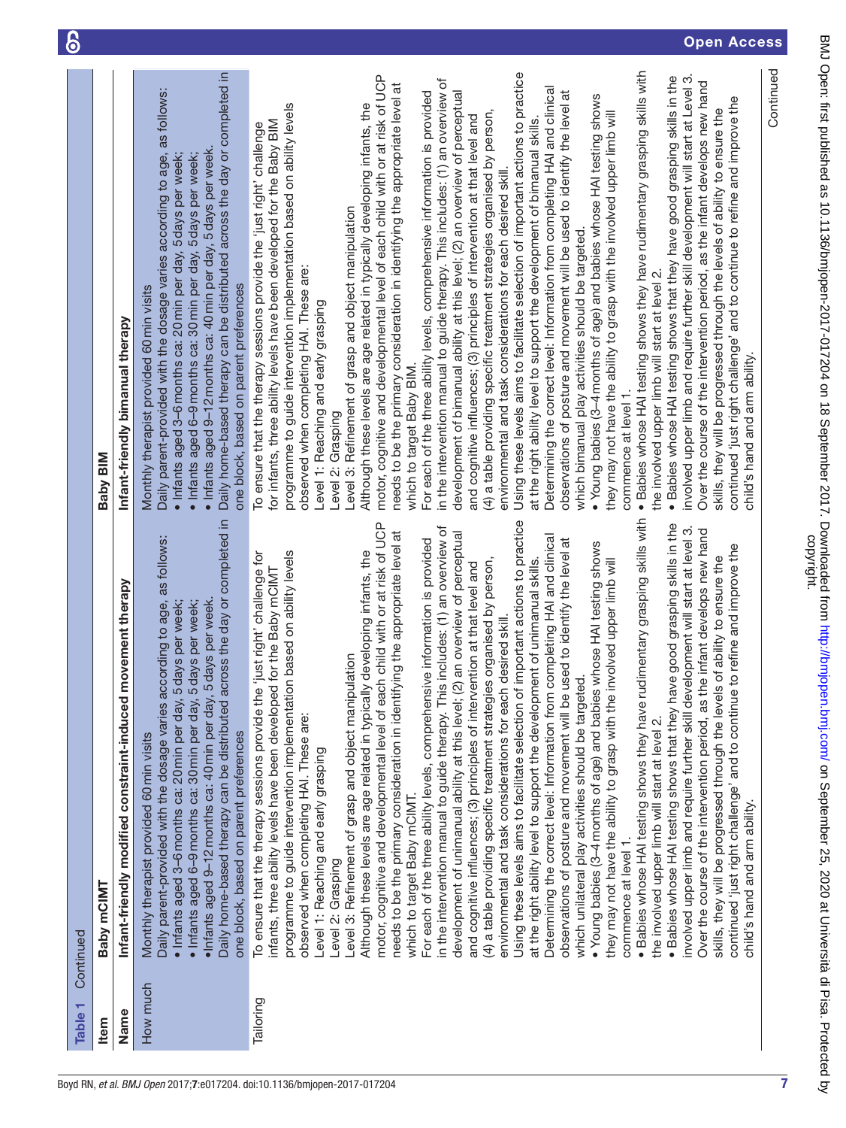| ٣<br><b>Table</b> | Continued                                                                                                                                                                                                                                                                                                                                                                                                                                                                                                                                                                                                                                                                                                                                                                                                                                                                                                                                                                                                                                                                                                                                                                                                                                                                                                                                                                                                                                                                                                                                                                                                                                                                                                                                                                                                                                                                                                                                                                                                                                                                                                                                                                                                                                                                                                                  | <u>ပ</u>                                                                                                                                                                                                                                                                                                                                                                                                                                                                                                                                                                                                                                                                                                                                                                                                                                                                                                                                                                                                                                                                                                                                                                                                                                                                                                                                                                                                                                                                                                                                                                                                                                                                                                                                                                                                                                                                                                                                                                                                                                                                                                                                                                                                                                                                                                    |
|-------------------|----------------------------------------------------------------------------------------------------------------------------------------------------------------------------------------------------------------------------------------------------------------------------------------------------------------------------------------------------------------------------------------------------------------------------------------------------------------------------------------------------------------------------------------------------------------------------------------------------------------------------------------------------------------------------------------------------------------------------------------------------------------------------------------------------------------------------------------------------------------------------------------------------------------------------------------------------------------------------------------------------------------------------------------------------------------------------------------------------------------------------------------------------------------------------------------------------------------------------------------------------------------------------------------------------------------------------------------------------------------------------------------------------------------------------------------------------------------------------------------------------------------------------------------------------------------------------------------------------------------------------------------------------------------------------------------------------------------------------------------------------------------------------------------------------------------------------------------------------------------------------------------------------------------------------------------------------------------------------------------------------------------------------------------------------------------------------------------------------------------------------------------------------------------------------------------------------------------------------------------------------------------------------------------------------------------------------|-------------------------------------------------------------------------------------------------------------------------------------------------------------------------------------------------------------------------------------------------------------------------------------------------------------------------------------------------------------------------------------------------------------------------------------------------------------------------------------------------------------------------------------------------------------------------------------------------------------------------------------------------------------------------------------------------------------------------------------------------------------------------------------------------------------------------------------------------------------------------------------------------------------------------------------------------------------------------------------------------------------------------------------------------------------------------------------------------------------------------------------------------------------------------------------------------------------------------------------------------------------------------------------------------------------------------------------------------------------------------------------------------------------------------------------------------------------------------------------------------------------------------------------------------------------------------------------------------------------------------------------------------------------------------------------------------------------------------------------------------------------------------------------------------------------------------------------------------------------------------------------------------------------------------------------------------------------------------------------------------------------------------------------------------------------------------------------------------------------------------------------------------------------------------------------------------------------------------------------------------------------------------------------------------------------|
| Item              | Baby mCIMT                                                                                                                                                                                                                                                                                                                                                                                                                                                                                                                                                                                                                                                                                                                                                                                                                                                                                                                                                                                                                                                                                                                                                                                                                                                                                                                                                                                                                                                                                                                                                                                                                                                                                                                                                                                                                                                                                                                                                                                                                                                                                                                                                                                                                                                                                                                 | <b>Baby BIM</b>                                                                                                                                                                                                                                                                                                                                                                                                                                                                                                                                                                                                                                                                                                                                                                                                                                                                                                                                                                                                                                                                                                                                                                                                                                                                                                                                                                                                                                                                                                                                                                                                                                                                                                                                                                                                                                                                                                                                                                                                                                                                                                                                                                                                                                                                                             |
| Name              | ovement therapy<br>Infant-friendly modified constraint-induced m                                                                                                                                                                                                                                                                                                                                                                                                                                                                                                                                                                                                                                                                                                                                                                                                                                                                                                                                                                                                                                                                                                                                                                                                                                                                                                                                                                                                                                                                                                                                                                                                                                                                                                                                                                                                                                                                                                                                                                                                                                                                                                                                                                                                                                                           | Infant-friendly bimanual therapy                                                                                                                                                                                                                                                                                                                                                                                                                                                                                                                                                                                                                                                                                                                                                                                                                                                                                                                                                                                                                                                                                                                                                                                                                                                                                                                                                                                                                                                                                                                                                                                                                                                                                                                                                                                                                                                                                                                                                                                                                                                                                                                                                                                                                                                                            |
| How much          | Daily home-based therapy can be distributed across the day or completed in<br>Daily parent-provided with the dosage varies according to age, as follows:<br>·Infants aged 9-12 months ca: 40 min per day, 5 days per week.<br>· Infants aged 3-6 months ca: 20 min per day, 5 days per week;<br>· Infants aged 6-9 months ca: 30 min per day, 5 days per week;<br>one block, based on parent preferences<br>Monthly therapist provided 60 min visits                                                                                                                                                                                                                                                                                                                                                                                                                                                                                                                                                                                                                                                                                                                                                                                                                                                                                                                                                                                                                                                                                                                                                                                                                                                                                                                                                                                                                                                                                                                                                                                                                                                                                                                                                                                                                                                                       | Daily home-based therapy can be distributed across the day or completed in<br>Daily parent-provided with the dosage varies according to age, as follows:<br>· Infants aged 9-12 months ca: 40 min per day, 5 days per week.<br>· Infants aged 3-6 months ca: 20 min per day, 5 days per week;<br>· Infants aged 6-9 months ca: 30 min per day, 5 days per week;<br>one block, based on parent preferences<br>Monthly therapist provided 60 min visits                                                                                                                                                                                                                                                                                                                                                                                                                                                                                                                                                                                                                                                                                                                                                                                                                                                                                                                                                                                                                                                                                                                                                                                                                                                                                                                                                                                                                                                                                                                                                                                                                                                                                                                                                                                                                                                       |
| Tailoring         | . Babies whose HAI testing shows they have rudimentary grasping skills with<br>Using these levels aims to facilitate selection of important actions to practice<br>motor, cognitive and developmental level of each child with or at risk of UCP<br>. Babies whose HAI testing shows that they have good grasping skills in the<br>in the intervention manual to guide therapy. This includes: (1) an overview of<br>involved upper limb and require further skill development will start at level 3.<br>Over the course of the intervention period, as the infant develops new hand<br>needs to be the primary consideration in identifying the appropriate level at<br>an overview of perceptual<br>Determining the correct level: Information from completing HAI and clinical<br>observations of posture and movement will be used to identify the level at<br>For each of the three ability levels, comprehensive information is provided<br>. Young babies (3-4 months of age) and babies whose HAI testing shows<br>continued 'just right challenge' and to continue to refine and improve the<br>Although these levels are age related in typically developing infants, the<br>programme to guide intervention implementation based on ability levels<br>just right' challenge for<br>skills, they will be progressed through the levels of ability to ensure the<br>they may not have the ability to grasp with the involved upper limb will<br>(4) a table providing specific treatment strategies organised by person,<br>at the right ability level to support the development of unimanual skills.<br>and cognitive influences; (3) principles of intervention at that level and<br>infants, three ability levels have been developed for the Baby mCIMT<br>desired skill.<br>lation<br>which unilateral play activities should be targeted<br>Level 3: Refinement of grasp and object manipul<br>development of unimanual ability at this level; (2)<br>To ensure that the therapy sessions provide the<br>environmental and task considerations for each<br>observed when completing HAI. These are:<br>the involved upper limb will start at level 2.<br>Level 1: Reaching and early grasping<br>which to target Baby mCIMT.<br>child's hand and arm ability.<br>commence at level 1.<br>Level 2: Grasping | ◡∼<br>. Babies whose HAI testing shows they have rudimentary grasping skills with<br>Using these levels aims to facilitate selection of important actions to practice<br>motor, cognitive and developmental level of each child with or at risk of UCP<br>involved upper limb and require further skill development will start at Level 3.<br>. Babies whose HAI testing shows that they have good grasping skills in the<br>in the intervention manual to guide therapy. This includes: (1) an overview of<br>Over the course of the intervention period, as the infant develops new hand<br>needs to be the primary consideration in identifying the appropriate level at<br>Determining the correct level: Information from completing HAI and clinical<br>observations of posture and movement will be used to identify the level at<br>For each of the three ability levels, comprehensive information is provided<br>development of bimanual ability at this level; (2) an overview of perceptual<br>• Young babies (3-4 months of age) and babies whose HAI testing shows<br>continued 'just right challenge' and to continue to refine and improve the<br>programme to guide intervention implementation based on ability levels<br>Although these levels are age related in typically developing infants, the<br>skills, they will be progressed through the levels of ability to ensure the<br>they may not have the ability to grasp with the involved upper limb will<br>(4) a table providing specific treatment strategies organised by person,<br>and cognitive influences; (3) principles of intervention at that level and<br>for infants, three ability levels have been developed for the Baby BIM<br>at the right ability level to support the development of bimanual skills<br>To ensure that the therapy sessions provide the 'just right' challenge<br>environmental and task considerations for each desired skill.<br>Level 3: Refinement of grasp and object manipulation<br>which bimanual play activities should be targeted.<br>observed when completing HAI. These are:<br>the involved upper limb will start at level 2.<br>Level 1: Reaching and early grasping<br>child's hand and arm ability.<br>which to target Baby BIM.<br>commence at level 1.<br>Level 2: Grasping |
|                   |                                                                                                                                                                                                                                                                                                                                                                                                                                                                                                                                                                                                                                                                                                                                                                                                                                                                                                                                                                                                                                                                                                                                                                                                                                                                                                                                                                                                                                                                                                                                                                                                                                                                                                                                                                                                                                                                                                                                                                                                                                                                                                                                                                                                                                                                                                                            | Continued                                                                                                                                                                                                                                                                                                                                                                                                                                                                                                                                                                                                                                                                                                                                                                                                                                                                                                                                                                                                                                                                                                                                                                                                                                                                                                                                                                                                                                                                                                                                                                                                                                                                                                                                                                                                                                                                                                                                                                                                                                                                                                                                                                                                                                                                                                   |

**Open Acce** 

BMJ Open: first published as 10.1136/bmjopen-2017-017204 on 18 September 2017. Downloaded from http://bmjopen.bmj.com/ on September 25, 2020 at Università di Pisa. Protected by<br>copyright. BMJ Open: first published as 10.1136/bmjopen-2017-017204 on 18 September 2017. Downloaded from <http://bmjopen.bmj.com/> on September 25, 2020 at Universita di Pisa. Protected by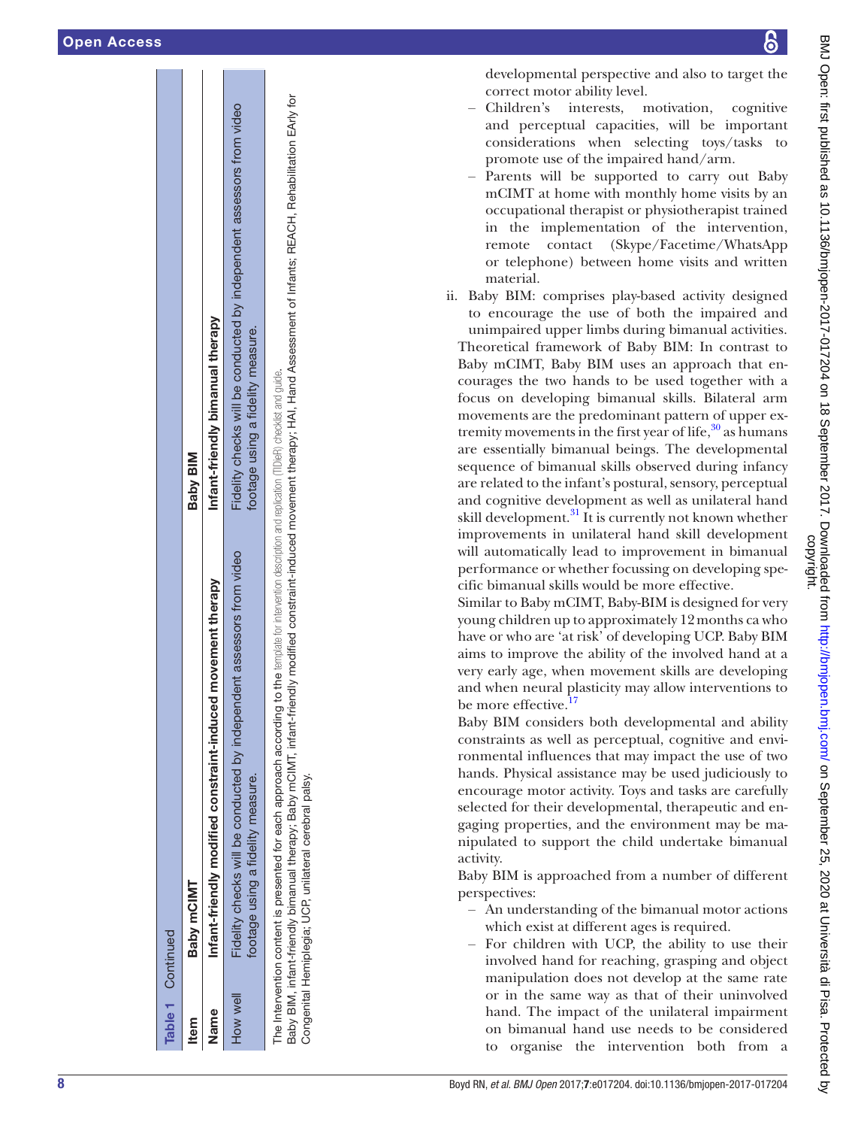| <b>Item</b> | Baby mCIMT                                                                                                                                                                                                                                                                                                                                            | <b>Baby BIM</b>                                                                                            |
|-------------|-------------------------------------------------------------------------------------------------------------------------------------------------------------------------------------------------------------------------------------------------------------------------------------------------------------------------------------------------------|------------------------------------------------------------------------------------------------------------|
| Name        | Infant-friendly modified constraint-induced movement therapy                                                                                                                                                                                                                                                                                          | Infant-friendly bimanual therapy                                                                           |
| How well    | Fidelity checks will be conducted by independent assessors from video<br>footage using a fidelity measure.                                                                                                                                                                                                                                            | Fidelity checks will be conducted by independent assessors from video<br>footage using a fidelity measure. |
|             | Baby BIM, infant-friendly bimanual therapy; Baby mCIMT, infant-friendly modified constraint-induced movement therapy; HAI, Hand Assessment of Infants; REACH, Rehabilitation EArly for<br>The Intervention content is presented for each approach according to the template for intervention description and replication (ITDieR) checklet and quide. |                                                                                                            |

**College** 

Congenital Hemiplegia; UCP, unilateral cerebral palsy. Congenital Hemiplegia; UCP, unilateral cerebral palsy developmental perspective and also to target the correct motor ability level.

8

- Children's interests, motivation, cognitive and perceptual capacities, will be important considerations when selecting toys/tasks to promote use of the impaired hand/arm.
- Parents will be supported to carry out Baby mCIMT at home with monthly home visits by an occupational therapist or physiotherapist trained in the implementation of the intervention, remote contact (Skype/Facetime/WhatsApp or telephone) between home visits and written material.
- ii. Baby BIM: comprises play-based activity designed to encourage the use of both the impaired and unimpaired upper limbs during bimanual activities. Theoretical framework of Baby BIM: In contrast to Baby mCIMT, Baby BIM uses an approach that en courages the two hands to be used together with a focus on developing bimanual skills. Bilateral arm movements are the predominant pattern of upper ex tremity movements in the first year of life,  $30^{\circ}$  $30^{\circ}$  as humans are essentially bimanual beings. The developmental sequence of bimanual skills observed during infancy are related to the infant's postural, sensory, perceptual and cognitive development as well as unilateral hand skill development. $31$  It is currently not known whether improvements in unilateral hand skill development will automatically lead to improvement in bimanual performance or whether focussing on developing spe cific bimanual skills would be more effective.

Similar to Baby mCIMT, Baby-BIM is designed for very young children up to approximately 12months ca who have or who are 'at risk' of developing UCP. Baby BIM aims to improve the ability of the involved hand at a very early age, when movement skills are developing and when neural plasticity may allow interventions to be more effective.

Baby BIM considers both developmental and ability constraints as well as perceptual, cognitive and envi ronmental influences that may impact the use of two hands. Physical assistance may be used judiciously to encourage motor activity. Toys and tasks are carefully selected for their developmental, therapeutic and engaging properties, and the environment may be manipulated to support the child undertake bimanual activity.

Baby BIM is approached from a number of different perspectives:

- An understanding of the bimanual motor actions which exist at different ages is required.
- For children with UCP, the ability to use their involved hand for reaching, grasping and object manipulation does not develop at the same rate or in the same way as that of their uninvolved hand. The impact of the unilateral impairment on bimanual hand use needs to be considered to organise the intervention both from a

Table 1

Continued

Continued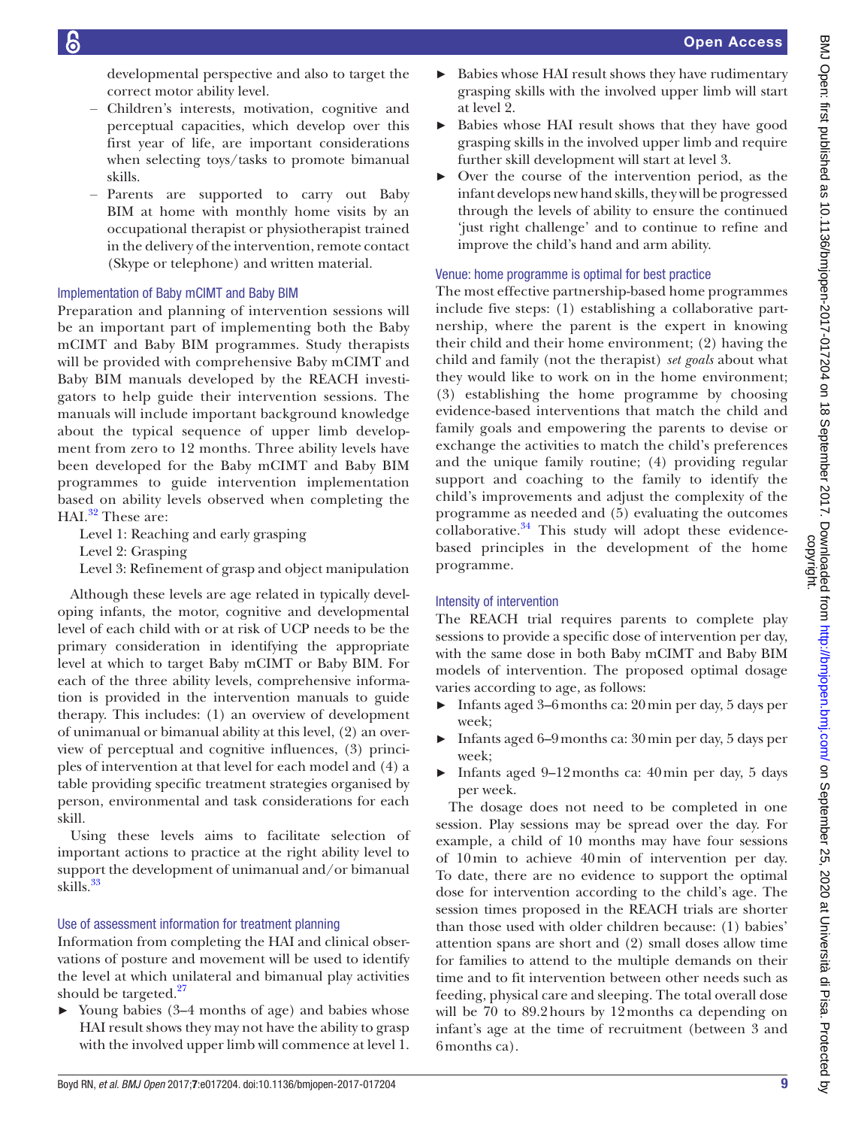developmental perspective and also to target the correct motor ability level.

- Children's interests, motivation, cognitive and perceptual capacities, which develop over this first year of life, are important considerations when selecting toys/tasks to promote bimanual skills.
- Parents are supported to carry out Baby BIM at home with monthly home visits by an occupational therapist or physiotherapist trained in the delivery of the intervention, remote contact (Skype or telephone) and written material.

# Implementation of Baby mCIMT and Baby BIM

Preparation and planning of intervention sessions will be an important part of implementing both the Baby mCIMT and Baby BIM programmes. Study therapists will be provided with comprehensive Baby mCIMT and Baby BIM manuals developed by the REACH investigators to help guide their intervention sessions. The manuals will include important background knowledge about the typical sequence of upper limb development from zero to 12 months. Three ability levels have been developed for the Baby mCIMT and Baby BIM programmes to guide intervention implementation based on ability levels observed when completing the  $HAI.<sup>32</sup>$  $HAI.<sup>32</sup>$  $HAI.<sup>32</sup>$  These are:

Level 1: Reaching and early grasping

Level 2: Grasping

Level 3: Refinement of grasp and object manipulation

Although these levels are age related in typically developing infants, the motor, cognitive and developmental level of each child with or at risk of UCP needs to be the primary consideration in identifying the appropriate level at which to target Baby mCIMT or Baby BIM. For each of the three ability levels, comprehensive information is provided in the intervention manuals to guide therapy. This includes: (1) an overview of development of unimanual or bimanual ability at this level, (2) an overview of perceptual and cognitive influences, (3) principles of intervention at that level for each model and (4) a table providing specific treatment strategies organised by person, environmental and task considerations for each skill.

Using these levels aims to facilitate selection of important actions to practice at the right ability level to support the development of unimanual and/or bimanual skills.<sup>[33](#page-16-9)</sup>

# Use of assessment information for treatment planning

Information from completing the HAI and clinical observations of posture and movement will be used to identify the level at which unilateral and bimanual play activities should be targeted. $27$ 

 $\blacktriangleright$  Young babies (3–4 months of age) and babies whose HAI result shows they may not have the ability to grasp with the involved upper limb will commence at level 1.

- Babies whose HAI result shows they have rudimentary grasping skills with the involved upper limb will start at level 2.
- ► Babies whose HAI result shows that they have good grasping skills in the involved upper limb and require further skill development will start at level 3.
- Over the course of the intervention period, as the infant develops new hand skills, they will be progressed through the levels of ability to ensure the continued 'just right challenge' and to continue to refine and improve the child's hand and arm ability.

# Venue: home programme is optimal for best practice

The most effective partnership-based home programmes include five steps: (1) establishing a collaborative partnership, where the parent is the expert in knowing their child and their home environment; (2) having the child and family (not the therapist) *set goals* about what they would like to work on in the home environment; (3) establishing the home programme by choosing evidence-based interventions that match the child and family goals and empowering the parents to devise or exchange the activities to match the child's preferences and the unique family routine; (4) providing regular support and coaching to the family to identify the child's improvements and adjust the complexity of the programme as needed and (5) evaluating the outcomes collaborative. $34$  This study will adopt these evidencebased principles in the development of the home programme.

# Intensity of intervention

The REACH trial requires parents to complete play sessions to provide a specific dose of intervention per day, with the same dose in both Baby mCIMT and Baby BIM models of intervention. The proposed optimal dosage varies according to age, as follows:

- ► Infants aged 3–6months ca: 20min per day, 5 days per week;
- ► Infants aged 6–9months ca: 30min per day, 5 days per week;
- ► Infants aged 9–12months ca: 40min per day, 5 days per week.

The dosage does not need to be completed in one session. Play sessions may be spread over the day. For example, a child of 10 months may have four sessions of 10min to achieve 40min of intervention per day. To date, there are no evidence to support the optimal dose for intervention according to the child's age. The session times proposed in the REACH trials are shorter than those used with older children because: (1) babies' attention spans are short and (2) small doses allow time for families to attend to the multiple demands on their time and to fit intervention between other needs such as feeding, physical care and sleeping. The total overall dose will be 70 to 89.2hours by 12months ca depending on infant's age at the time of recruitment (between 3 and 6months ca).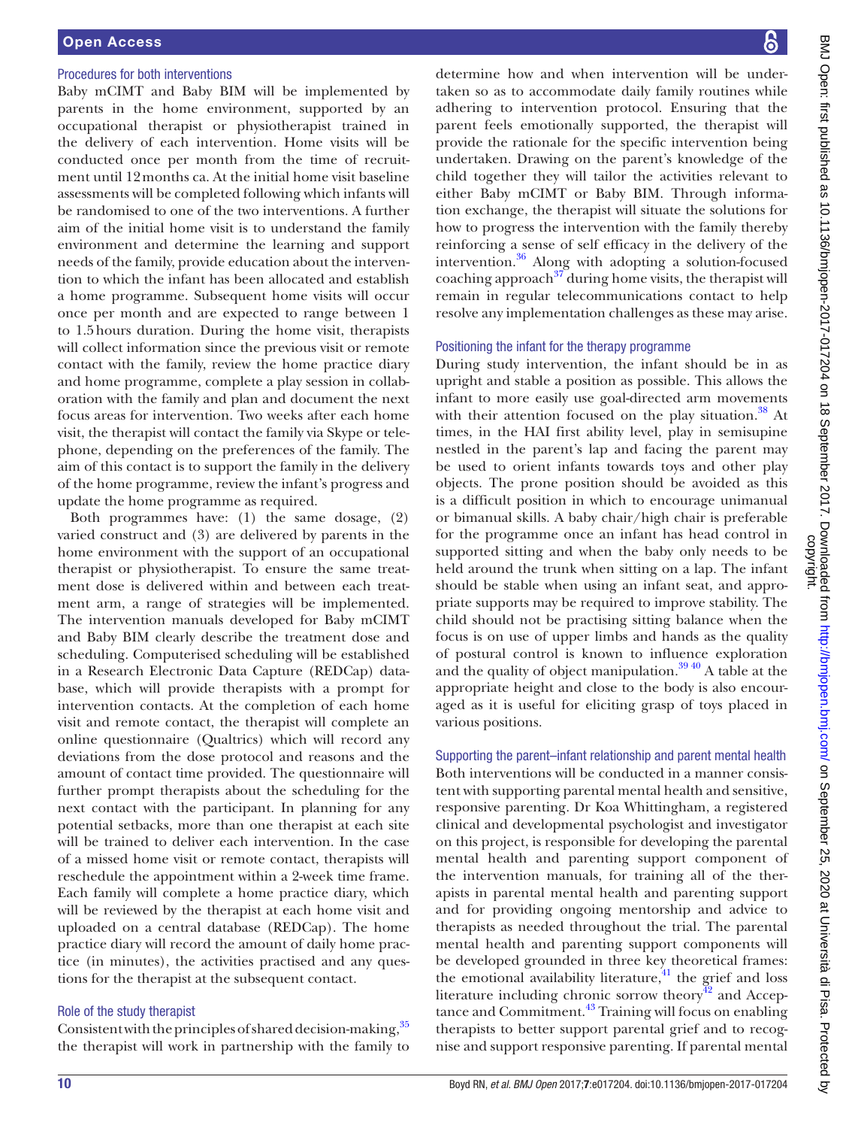# Procedures for both interventions

Baby mCIMT and Baby BIM will be implemented by parents in the home environment, supported by an occupational therapist or physiotherapist trained in the delivery of each intervention. Home visits will be conducted once per month from the time of recruitment until 12months ca. At the initial home visit baseline assessments will be completed following which infants will be randomised to one of the two interventions. A further aim of the initial home visit is to understand the family environment and determine the learning and support needs of the family, provide education about the intervention to which the infant has been allocated and establish a home programme. Subsequent home visits will occur once per month and are expected to range between 1 to 1.5hours duration. During the home visit, therapists will collect information since the previous visit or remote contact with the family, review the home practice diary and home programme, complete a play session in collaboration with the family and plan and document the next focus areas for intervention. Two weeks after each home visit, the therapist will contact the family via Skype or telephone, depending on the preferences of the family. The aim of this contact is to support the family in the delivery of the home programme, review the infant's progress and update the home programme as required.

Both programmes have: (1) the same dosage, (2) varied construct and (3) are delivered by parents in the home environment with the support of an occupational therapist or physiotherapist. To ensure the same treatment dose is delivered within and between each treatment arm, a range of strategies will be implemented. The intervention manuals developed for Baby mCIMT and Baby BIM clearly describe the treatment dose and scheduling. Computerised scheduling will be established in a Research Electronic Data Capture (REDCap) database, which will provide therapists with a prompt for intervention contacts. At the completion of each home visit and remote contact, the therapist will complete an online questionnaire (Qualtrics) which will record any deviations from the dose protocol and reasons and the amount of contact time provided. The questionnaire will further prompt therapists about the scheduling for the next contact with the participant. In planning for any potential setbacks, more than one therapist at each site will be trained to deliver each intervention. In the case of a missed home visit or remote contact, therapists will reschedule the appointment within a 2-week time frame. Each family will complete a home practice diary, which will be reviewed by the therapist at each home visit and uploaded on a central database (REDCap). The home practice diary will record the amount of daily home practice (in minutes), the activities practised and any questions for the therapist at the subsequent contact.

# Role of the study therapist

Consistent with the principles of shared decision-making, <sup>35</sup> the therapist will work in partnership with the family to

determine how and when intervention will be undertaken so as to accommodate daily family routines while adhering to intervention protocol. Ensuring that the parent feels emotionally supported, the therapist will provide the rationale for the specific intervention being undertaken. Drawing on the parent's knowledge of the child together they will tailor the activities relevant to either Baby mCIMT or Baby BIM. Through information exchange, the therapist will situate the solutions for how to progress the intervention with the family thereby reinforcing a sense of self efficacy in the delivery of the intervention. $36$  Along with adopting a solution-focused coaching approach $37$  during home visits, the therapist will remain in regular telecommunications contact to help resolve any implementation challenges as these may arise.

# Positioning the infant for the therapy programme

During study intervention, the infant should be in as upright and stable a position as possible. This allows the infant to more easily use goal-directed arm movements with their attention focused on the play situation. $38$  At times, in the HAI first ability level, play in semisupine nestled in the parent's lap and facing the parent may be used to orient infants towards toys and other play objects. The prone position should be avoided as this is a difficult position in which to encourage unimanual or bimanual skills. A baby chair/high chair is preferable for the programme once an infant has head control in supported sitting and when the baby only needs to be held around the trunk when sitting on a lap. The infant should be stable when using an infant seat, and appropriate supports may be required to improve stability. The child should not be practising sitting balance when the focus is on use of upper limbs and hands as the quality of postural control is known to influence exploration and the quality of object manipulation.<sup>3940</sup> A table at the appropriate height and close to the body is also encouraged as it is useful for eliciting grasp of toys placed in various positions.

Supporting the parent–infant relationship and parent mental health Both interventions will be conducted in a manner consistent with supporting parental mental health and sensitive, responsive parenting. Dr Koa Whittingham, a registered clinical and developmental psychologist and investigator on this project, is responsible for developing the parental mental health and parenting support component of the intervention manuals, for training all of the therapists in parental mental health and parenting support and for providing ongoing mentorship and advice to therapists as needed throughout the trial. The parental mental health and parenting support components will be developed grounded in three key theoretical frames: the emotional availability literature, $41$  the grief and loss literature including chronic sorrow theory $42$  and Acceptance and Commitment. $43$  Training will focus on enabling therapists to better support parental grief and to recognise and support responsive parenting. If parental mental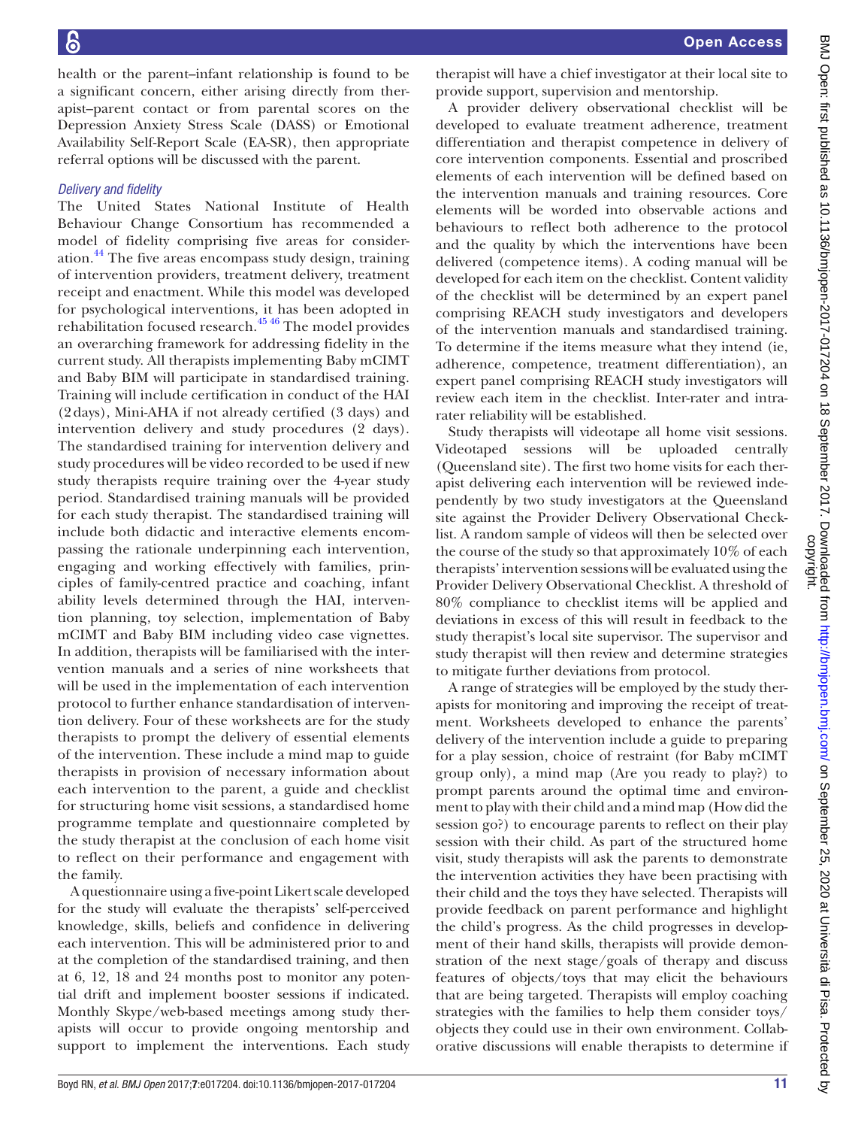health or the parent–infant relationship is found to be a significant concern, either arising directly from therapist–parent contact or from parental scores on the Depression Anxiety Stress Scale (DASS) or Emotional Availability Self-Report Scale (EA-SR), then appropriate referral options will be discussed with the parent.

# *Delivery and fidelity*

The United States National Institute of Health Behaviour Change Consortium has recommended a model of fidelity comprising five areas for consideration.[44](#page-16-19) The five areas encompass study design, training of intervention providers, treatment delivery, treatment receipt and enactment. While this model was developed for psychological interventions, it has been adopted in rehabilitation focused research.<sup>45 46</sup> The model provides an overarching framework for addressing fidelity in the current study. All therapists implementing Baby mCIMT and Baby BIM will participate in standardised training. Training will include certification in conduct of the HAI (2 days), Mini-AHA if not already certified (3 days) and intervention delivery and study procedures (2 days). The standardised training for intervention delivery and study procedures will be video recorded to be used if new study therapists require training over the 4-year study period. Standardised training manuals will be provided for each study therapist. The standardised training will include both didactic and interactive elements encompassing the rationale underpinning each intervention, engaging and working effectively with families, principles of family-centred practice and coaching, infant ability levels determined through the HAI, intervention planning, toy selection, implementation of Baby mCIMT and Baby BIM including video case vignettes. In addition, therapists will be familiarised with the intervention manuals and a series of nine worksheets that will be used in the implementation of each intervention protocol to further enhance standardisation of intervention delivery. Four of these worksheets are for the study therapists to prompt the delivery of essential elements of the intervention. These include a mind map to guide therapists in provision of necessary information about each intervention to the parent, a guide and checklist for structuring home visit sessions, a standardised home programme template and questionnaire completed by the study therapist at the conclusion of each home visit to reflect on their performance and engagement with the family.

A questionnaire using a five-point Likert scale developed for the study will evaluate the therapists' self-perceived knowledge, skills, beliefs and confidence in delivering each intervention. This will be administered prior to and at the completion of the standardised training, and then at 6, 12, 18 and 24 months post to monitor any potential drift and implement booster sessions if indicated. Monthly Skype/web-based meetings among study therapists will occur to provide ongoing mentorship and support to implement the interventions. Each study

therapist will have a chief investigator at their local site to provide support, supervision and mentorship.

A provider delivery observational checklist will be developed to evaluate treatment adherence, treatment differentiation and therapist competence in delivery of core intervention components. Essential and proscribed elements of each intervention will be defined based on the intervention manuals and training resources. Core elements will be worded into observable actions and behaviours to reflect both adherence to the protocol and the quality by which the interventions have been delivered (competence items). A coding manual will be developed for each item on the checklist. Content validity of the checklist will be determined by an expert panel comprising REACH study investigators and developers of the intervention manuals and standardised training. To determine if the items measure what they intend (ie, adherence, competence, treatment differentiation), an expert panel comprising REACH study investigators will review each item in the checklist. Inter-rater and intrarater reliability will be established.

Study therapists will videotape all home visit sessions. Videotaped sessions will be uploaded centrally (Queensland site). The first two home visits for each therapist delivering each intervention will be reviewed independently by two study investigators at the Queensland site against the Provider Delivery Observational Checklist. A random sample of videos will then be selected over the course of the study so that approximately 10% of each therapists' intervention sessions will be evaluated using the Provider Delivery Observational Checklist. A threshold of 80% compliance to checklist items will be applied and deviations in excess of this will result in feedback to the study therapist's local site supervisor. The supervisor and study therapist will then review and determine strategies to mitigate further deviations from protocol.

A range of strategies will be employed by the study therapists for monitoring and improving the receipt of treatment. Worksheets developed to enhance the parents' delivery of the intervention include a guide to preparing for a play session, choice of restraint (for Baby mCIMT group only), a mind map (Are you ready to play?) to prompt parents around the optimal time and environment to play with their child and a mind map (How did the session go?) to encourage parents to reflect on their play session with their child. As part of the structured home visit, study therapists will ask the parents to demonstrate the intervention activities they have been practising with their child and the toys they have selected. Therapists will provide feedback on parent performance and highlight the child's progress. As the child progresses in development of their hand skills, therapists will provide demonstration of the next stage/goals of therapy and discuss features of objects/toys that may elicit the behaviours that are being targeted. Therapists will employ coaching strategies with the families to help them consider toys/ objects they could use in their own environment. Collaborative discussions will enable therapists to determine if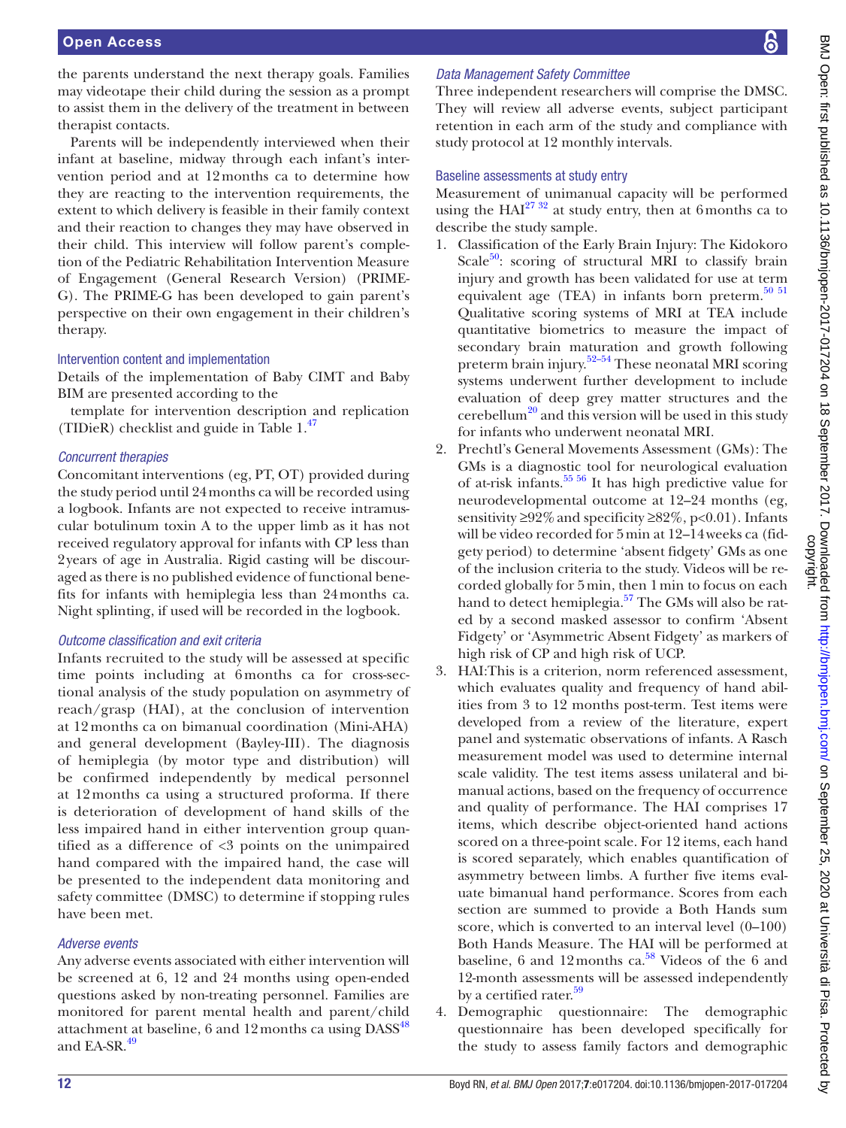the parents understand the next therapy goals. Families may videotape their child during the session as a prompt to assist them in the delivery of the treatment in between therapist contacts.

Parents will be independently interviewed when their infant at baseline, midway through each infant's intervention period and at 12months ca to determine how they are reacting to the intervention requirements, the extent to which delivery is feasible in their family context and their reaction to changes they may have observed in their child. This interview will follow parent's completion of the Pediatric Rehabilitation Intervention Measure of Engagement (General Research Version) (PRIME-G). The PRIME-G has been developed to gain parent's perspective on their own engagement in their children's therapy.

#### Intervention content and implementation

Details of the implementation of Baby CIMT and Baby BIM are presented according to the

template for intervention description and replication (TIDieR) checklist and guide in Table  $1<sup>47</sup>$  $1<sup>47</sup>$  $1<sup>47</sup>$ 

#### *Concurrent therapies*

Concomitant interventions (eg, PT, OT) provided during the study period until 24months ca will be recorded using a logbook. Infants are not expected to receive intramuscular botulinum toxin A to the upper limb as it has not received regulatory approval for infants with CP less than 2years of age in Australia. Rigid casting will be discouraged as there is no published evidence of functional benefits for infants with hemiplegia less than 24months ca. Night splinting, if used will be recorded in the logbook.

#### *Outcome classification and exit criteria*

Infants recruited to the study will be assessed at specific time points including at 6 months ca for cross-sectional analysis of the study population on asymmetry of reach/grasp (HAI), at the conclusion of intervention at 12 months ca on bimanual coordination (Mini-AHA) and general development (Bayley-III). The diagnosis of hemiplegia (by motor type and distribution) will be confirmed independently by medical personnel at 12 months ca using a structured proforma. If there is deterioration of development of hand skills of the less impaired hand in either intervention group quantified as a difference of <3 points on the unimpaired hand compared with the impaired hand, the case will be presented to the independent data monitoring and safety committee (DMSC) to determine if stopping rules have been met.

#### *Adverse events*

Any adverse events associated with either intervention will be screened at 6, 12 and 24 months using open-ended questions asked by non-treating personnel. Families are monitored for parent mental health and parent/child attachment at baseline, 6 and 12 months ca using  $DASS^{48}$ and EA-SR.<sup>[49](#page-16-23)</sup>

# *Data Management Safety Committee*

Three independent researchers will comprise the DMSC. They will review all adverse events, subject participant retention in each arm of the study and compliance with study protocol at 12 monthly intervals.

#### Baseline assessments at study entry

Measurement of unimanual capacity will be performed using the HAI $^{27}$ <sup>32</sup> at study entry, then at 6 months ca to describe the study sample.

- 1. Classification of the Early Brain Injury: The Kidokoro Scale $50$ : scoring of structural MRI to classify brain injury and growth has been validated for use at term equivalent age (TEA) in infants born preterm.<sup>[50 51](#page-16-24)</sup> Qualitative scoring systems of MRI at TEA include quantitative biometrics to measure the impact of secondary brain maturation and growth following preterm brain injury[.52–54](#page-16-25) These neonatal MRI scoring systems underwent further development to include evaluation of deep grey matter structures and the cerebellum<sup>[20](#page-16-0)</sup> and this version will be used in this study for infants who underwent neonatal MRI.
- 2. Prechtl's General Movements Assessment (GMs): The GMs is a diagnostic tool for neurological evaluation of at-risk infants.[55 56](#page-16-26) It has high predictive value for neurodevelopmental outcome at 12–24 months (eg, sensitivity  $\geq 92\%$  and specificity  $\geq 82\%$ , p<0.01). Infants will be video recorded for 5min at 12–14weeks ca (fidgety period) to determine 'absent fidgety' GMs as one of the inclusion criteria to the study. Videos will be recorded globally for 5min, then 1min to focus on each hand to detect hemiplegia.<sup>[57](#page-16-27)</sup> The GMs will also be rated by a second masked assessor to confirm 'Absent Fidgety' or 'Asymmetric Absent Fidgety' as markers of high risk of CP and high risk of UCP.
- 3. HAI:This is a criterion, norm referenced assessment, which evaluates quality and frequency of hand abilities from 3 to 12 months post-term. Test items were developed from a review of the literature, expert panel and systematic observations of infants. A Rasch measurement model was used to determine internal scale validity. The test items assess unilateral and bimanual actions, based on the frequency of occurrence and quality of performance. The HAI comprises 17 items, which describe object-oriented hand actions scored on a three-point scale. For 12 items, each hand is scored separately, which enables quantification of asymmetry between limbs. A further five items evaluate bimanual hand performance. Scores from each section are summed to provide a Both Hands sum score, which is converted to an interval level (0–100) Both Hands Measure. The HAI will be performed at baseline, 6 and 12 months ca.<sup>[58](#page-16-28)</sup> Videos of the 6 and 12-month assessments will be assessed independently by a certified rater.<sup>[59](#page-16-29)</sup>
- 4. Demographic questionnaire: The demographic questionnaire has been developed specifically for the study to assess family factors and demographic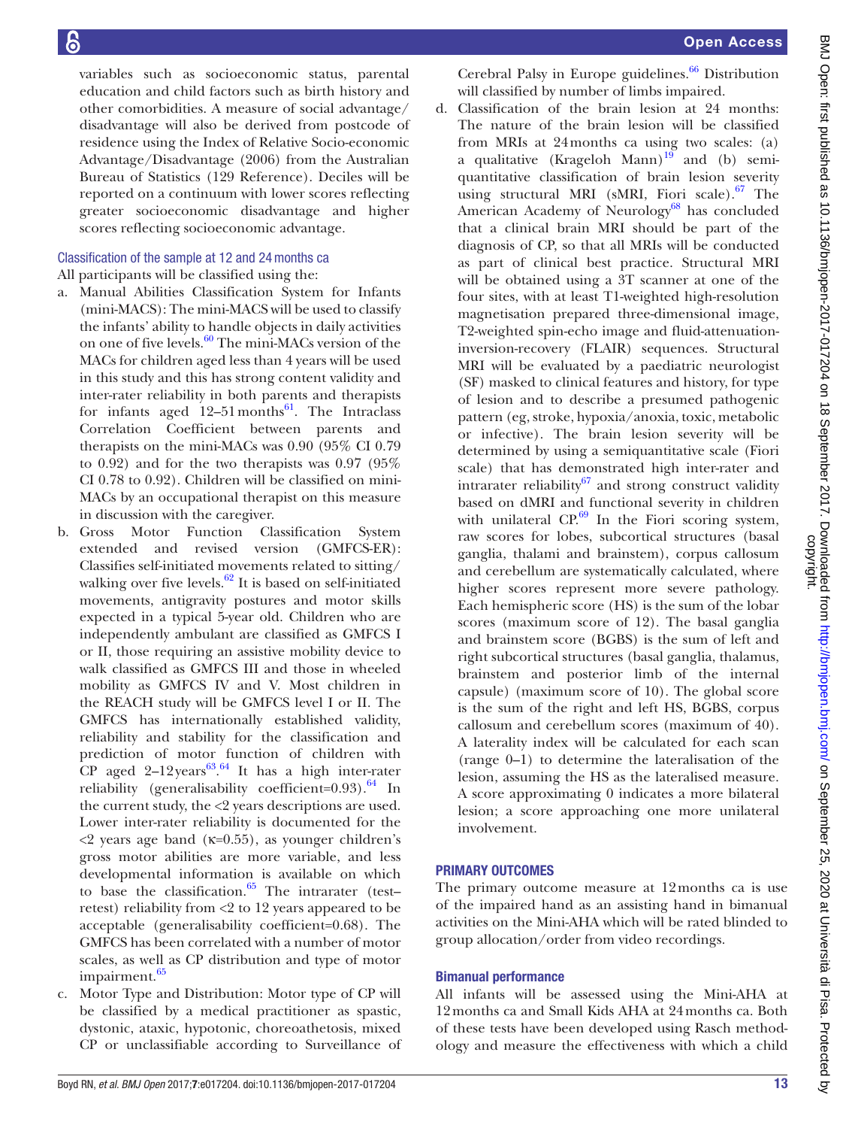variables such as socioeconomic status, parental education and child factors such as birth history and other comorbidities. A measure of social advantage/ disadvantage will also be derived from postcode of residence using the Index of Relative Socio-economic Advantage/Disadvantage (2006) from the Australian Bureau of Statistics (129 Reference). Deciles will be reported on a continuum with lower scores reflecting greater socioeconomic disadvantage and higher scores reflecting socioeconomic advantage.

# Classification of the sample at 12 and 24months ca

All participants will be classified using the:

- a. Manual Abilities Classification System for Infants (mini-MACS): The mini-MACS will be used to classify the infants' ability to handle objects in daily activities on one of five levels.<sup>[60](#page-16-30)</sup> The mini-MACs version of the MACs for children aged less than 4 years will be used in this study and this has strong content validity and inter-rater reliability in both parents and therapists for infants aged  $12-51$  months<sup>61</sup>. The Intraclass Correlation Coefficient between parents and therapists on the mini-MACs was 0.90 (95% CI 0.79 to 0.92) and for the two therapists was 0.97 (95% CI 0.78 to 0.92). Children will be classified on mini-MACs by an occupational therapist on this measure in discussion with the caregiver.
- b. Gross Motor Function Classification System extended and revised version (GMFCS-ER): Classifies self-initiated movements related to sitting/ walking over five levels. $62$  It is based on self-initiated movements, antigravity postures and motor skills expected in a typical 5-year old. Children who are independently ambulant are classified as GMFCS I or II, those requiring an assistive mobility device to walk classified as GMFCS III and those in wheeled mobility as GMFCS IV and V. Most children in the REACH study will be GMFCS level I or II. The GMFCS has internationally established validity, reliability and stability for the classification and prediction of motor function of children with  $CP$  aged 2–12years<sup>[63](#page-16-33)</sup>.<sup>64</sup> It has a high inter-rater reliability (generalisability coefficient= $0.93$ ).<sup>[64](#page-16-34)</sup> In the current study, the <2 years descriptions are used. Lower inter-rater reliability is documented for the  $\langle 2 \rangle$  years age band ( $\kappa$ =0.55), as younger children's gross motor abilities are more variable, and less developmental information is available on which to base the classification. $65$  The intrarater (test– retest) reliability from <2 to 12 years appeared to be acceptable (generalisability coefficient=0.68). The GMFCS has been correlated with a number of motor scales, as well as CP distribution and type of motor impairment.<sup>65</sup>
- c. Motor Type and Distribution: Motor type of CP will be classified by a medical practitioner as spastic, dystonic, ataxic, hypotonic, choreoathetosis, mixed CP or unclassifiable according to Surveillance of

Cerebral Palsy in Europe guidelines. $66$  Distribution will classified by number of limbs impaired.

d. Classification of the brain lesion at 24 months: The nature of the brain lesion will be classified from MRIs at 24months ca using two scales: (a) a qualitative (Krageloh Mann) $19$  and (b) semiquantitative classification of brain lesion severity using structural MRI (sMRI, Fiori scale). $67$  The American Academy of Neurology<sup>68</sup> has concluded that a clinical brain MRI should be part of the diagnosis of CP, so that all MRIs will be conducted as part of clinical best practice. Structural MRI will be obtained using a 3T scanner at one of the four sites, with at least T1-weighted high-resolution magnetisation prepared three-dimensional image, T2-weighted spin-echo image and fluid-attenuationinversion-recovery (FLAIR) sequences. Structural MRI will be evaluated by a paediatric neurologist (SF) masked to clinical features and history, for type of lesion and to describe a presumed pathogenic pattern (eg, stroke, hypoxia/anoxia, toxic, metabolic or infective). The brain lesion severity will be determined by using a semiquantitative scale (Fiori scale) that has demonstrated high inter-rater and intrarater reliability $67$  and strong construct validity based on dMRI and functional severity in children with unilateral  $\text{CP}^{69}$  In the Fiori scoring system, raw scores for lobes, subcortical structures (basal ganglia, thalami and brainstem), corpus callosum and cerebellum are systematically calculated, where higher scores represent more severe pathology. Each hemispheric score (HS) is the sum of the lobar scores (maximum score of 12). The basal ganglia and brainstem score (BGBS) is the sum of left and right subcortical structures (basal ganglia, thalamus, brainstem and posterior limb of the internal capsule) (maximum score of 10). The global score is the sum of the right and left HS, BGBS, corpus callosum and cerebellum scores (maximum of 40). A laterality index will be calculated for each scan (range 0–1) to determine the lateralisation of the lesion, assuming the HS as the lateralised measure. A score approximating 0 indicates a more bilateral lesion; a score approaching one more unilateral involvement.

# Primary outcomes

The primary outcome measure at 12months ca is use of the impaired hand as an assisting hand in bimanual activities on the Mini-AHA which will be rated blinded to group allocation/order from video recordings.

#### Bimanual performance

All infants will be assessed using the Mini-AHA at 12months ca and Small Kids AHA at 24months ca. Both of these tests have been developed using Rasch methodology and measure the effectiveness with which a child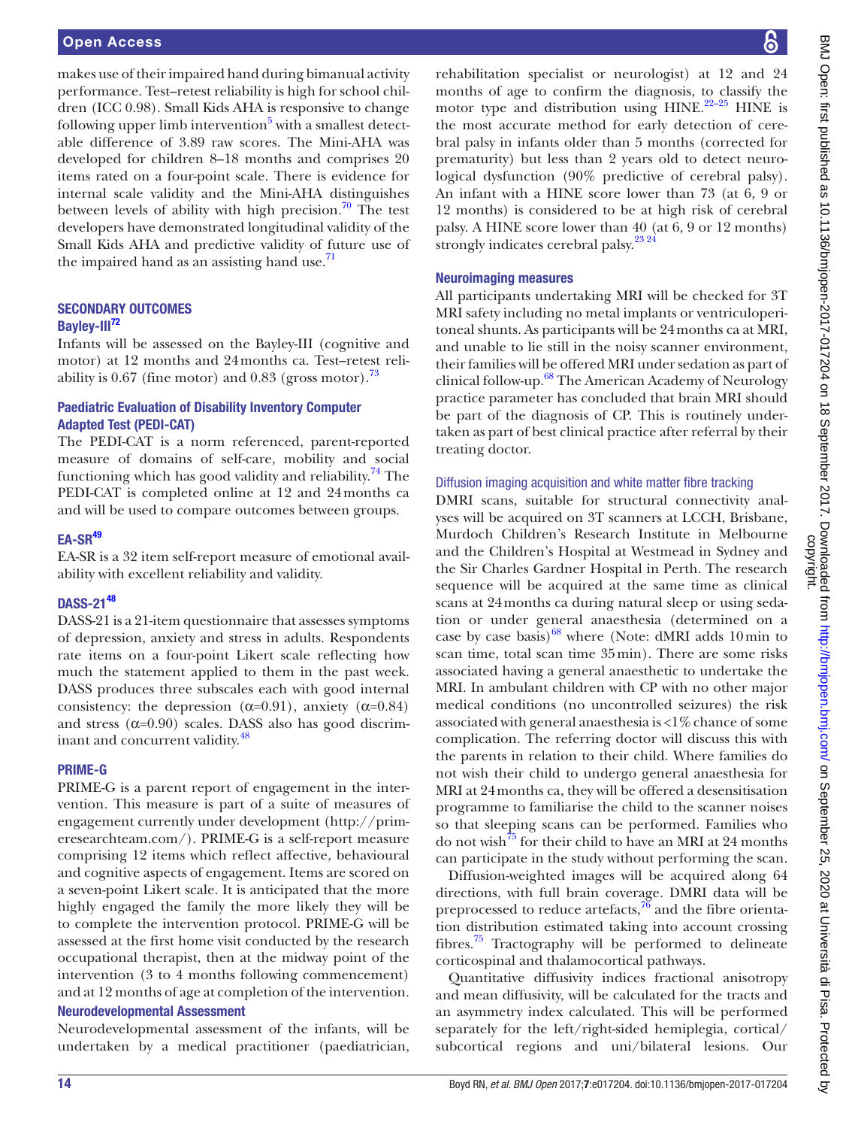# Open Access

makes use of their impaired hand during bimanual activity performance. Test–retest reliability is high for school children (ICC 0.98). Small Kids AHA is responsive to change following upper limb intervention<sup>5</sup> with a smallest detectable difference of 3.89 raw scores. The Mini-AHA was developed for children 8–18 months and comprises 20 items rated on a four-point scale. There is evidence for internal scale validity and the Mini-AHA distinguishes between levels of ability with high precision.<sup>70</sup> The test developers have demonstrated longitudinal validity of the Small Kids AHA and predictive validity of future use of the impaired hand as an assisting hand use. $71$ 

# Secondary outcomes Bayley-III<sup>72</sup>

Infants will be assessed on the Bayley-III (cognitive and motor) at 12 months and 24months ca. Test–retest reliability is 0.67 (fine motor) and 0.83 (gross motor).<sup>73</sup>

# Paediatric Evaluation of Disability Inventory Computer Adapted Test (PEDI-CAT)

The PEDI-CAT is a norm referenced, parent-reported measure of domains of self-care, mobility and social functioning which has good validity and reliability.<sup>74</sup> The PEDI-CAT is completed online at 12 and 24months ca and will be used to compare outcomes between groups.

#### $EA-SR<sup>49</sup>$  $EA-SR<sup>49</sup>$  $EA-SR<sup>49</sup>$

EA-SR is a 32 item self-report measure of emotional availability with excellent reliability and validity.

# DASS-21<sup>48</sup>

DASS-21 is a 21-item questionnaire that assesses symptoms of depression, anxiety and stress in adults. Respondents rate items on a four-point Likert scale reflecting how much the statement applied to them in the past week. DASS produces three subscales each with good internal consistency: the depression  $(\alpha=0.91)$ , anxiety  $(\alpha=0.84)$ and stress  $(\alpha=0.90)$  scales. DASS also has good discrim-inant and concurrent validity.<sup>[48](#page-16-22)</sup>

#### PRIME-G

PRIME-G is a parent report of engagement in the intervention. This measure is part of a suite of measures of engagement currently under development [\(http://prim](http://primeresearchteam.com/)[eresearchteam.com/](http://primeresearchteam.com/)). PRIME-G is a self-report measure comprising 12 items which reflect affective, behavioural and cognitive aspects of engagement. Items are scored on a seven-point Likert scale. It is anticipated that the more highly engaged the family the more likely they will be to complete the intervention protocol. PRIME-G will be assessed at the first home visit conducted by the research occupational therapist, then at the midway point of the intervention (3 to 4 months following commencement) and at 12 months of age at completion of the intervention.

# Neurodevelopmental Assessment

Neurodevelopmental assessment of the infants, will be undertaken by a medical practitioner (paediatrician,

rehabilitation specialist or neurologist) at 12 and 24 months of age to confirm the diagnosis, to classify the motor type and distribution using HINE.<sup>22-25</sup> HINE is the most accurate method for early detection of cerebral palsy in infants older than 5 months (corrected for prematurity) but less than 2 years old to detect neurological dysfunction (90% predictive of cerebral palsy). An infant with a HINE score lower than 73 (at 6, 9 or 12 months) is considered to be at high risk of cerebral palsy. A HINE score lower than 40 (at 6, 9 or 12 months) strongly indicates cerebral palsy.<sup>[23 24](#page-16-40)</sup>

#### Neuroimaging measures

All participants undertaking MRI will be checked for 3T MRI safety including no metal implants or ventriculoperitoneal shunts. As participants will be 24months ca at MRI, and unable to lie still in the noisy scanner environment, their families will be offered MRI under sedation as part of clinical follow-up.<sup>68</sup> The American Academy of Neurology practice parameter has concluded that brain MRI should be part of the diagnosis of CP. This is routinely undertaken as part of best clinical practice after referral by their treating doctor.

#### Diffusion imaging acquisition and white matter fibre tracking

DMRI scans, suitable for structural connectivity analyses will be acquired on 3T scanners at LCCH, Brisbane, Murdoch Children's Research Institute in Melbourne and the Children's Hospital at Westmead in Sydney and the Sir Charles Gardner Hospital in Perth. The research sequence will be acquired at the same time as clinical scans at 24months ca during natural sleep or using sedation or under general anaesthesia (determined on a case by case basis) $^{68}$  where (Note: dMRI adds 10min to scan time, total scan time 35min). There are some risks associated having a general anaesthetic to undertake the MRI. In ambulant children with CP with no other major medical conditions (no uncontrolled seizures) the risk associated with general anaesthesia is  $\langle 1\%$  chance of some complication. The referring doctor will discuss this with the parents in relation to their child. Where families do not wish their child to undergo general anaesthesia for MRI at 24months ca, they will be offered a desensitisation programme to familiarise the child to the scanner noises so that sleeping scans can be performed. Families who do not wish<sup>75</sup> for their child to have an MRI at 24 months can participate in the study without performing the scan.

Diffusion-weighted images will be acquired along 64 directions, with full brain coverage. DMRI data will be preprocessed to reduce artefacts, $76$  and the fibre orientation distribution estimated taking into account crossing fibres.<sup>75</sup> Tractography will be performed to delineate corticospinal and thalamocortical pathways.

Quantitative diffusivity indices fractional anisotropy and mean diffusivity, will be calculated for the tracts and an asymmetry index calculated. This will be performed separately for the left/right-sided hemiplegia, cortical/ subcortical regions and uni/bilateral lesions. Our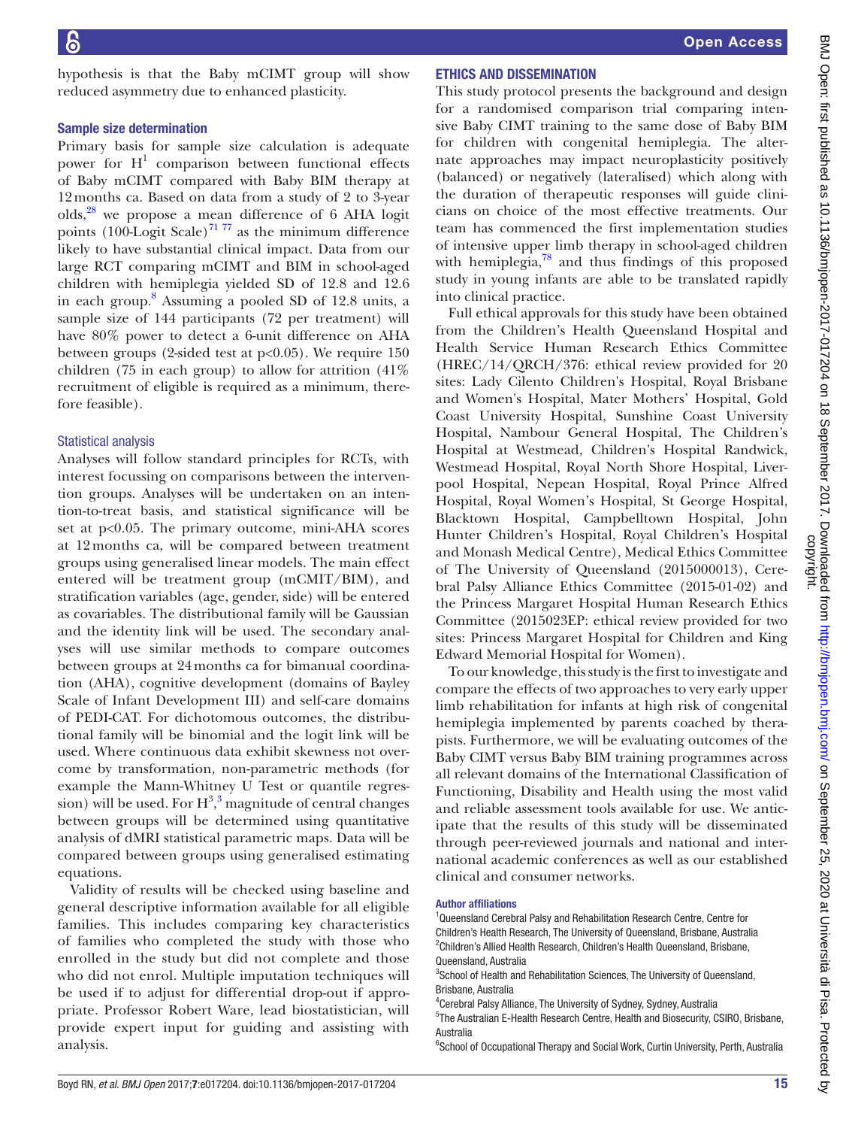hypothesis is that the Baby mCIMT group will show reduced asymmetry due to enhanced plasticity.

### Sample size determination

Primary basis for sample size calculation is adequate power for  $H^1$  comparison between functional effects of Baby mCIMT compared with Baby BIM therapy at 12months ca. Based on data from a study of 2 to 3-year olds,[28](#page-16-5) we propose a mean difference of 6 AHA logit points  $(100 \text{Logit Scale})^{71.77}$  as the minimum difference likely to have substantial clinical impact. Data from our large RCT comparing mCIMT and BIM in school-aged children with hemiplegia yielded SD of 12.8 and 12.6 in each group.[8](#page-15-7) Assuming a pooled SD of 12.8 units, a sample size of 144 participants (72 per treatment) will have 80% power to detect a 6-unit difference on AHA between groups (2-sided test at  $p<0.05$ ). We require 150 children (75 in each group) to allow for attrition (41% recruitment of eligible is required as a minimum, therefore feasible).

# Statistical analysis

Analyses will follow standard principles for RCTs, with interest focussing on comparisons between the intervention groups. Analyses will be undertaken on an intention-to-treat basis, and statistical significance will be set at p<0.05. The primary outcome, mini-AHA scores at 12months ca, will be compared between treatment groups using generalised linear models. The main effect entered will be treatment group (mCMIT/BIM), and stratification variables (age, gender, side) will be entered as covariables. The distributional family will be Gaussian and the identity link will be used. The secondary analyses will use similar methods to compare outcomes between groups at 24months ca for bimanual coordination (AHA), cognitive development (domains of Bayley Scale of Infant Development III) and self-care domains of PEDI-CAT. For dichotomous outcomes, the distributional family will be binomial and the logit link will be used. Where continuous data exhibit skewness not overcome by transformation, non-parametric methods (for example the Mann-Whitney U Test or quantile regression) will be used. For  $H^{3,3}$  $H^{3,3}$  $H^{3,3}$  magnitude of central changes between groups will be determined using quantitative analysis of dMRI statistical parametric maps. Data will be compared between groups using generalised estimating equations.

Validity of results will be checked using baseline and general descriptive information available for all eligible families. This includes comparing key characteristics of families who completed the study with those who enrolled in the study but did not complete and those who did not enrol. Multiple imputation techniques will be used if to adjust for differential drop-out if appropriate. Professor Robert Ware, lead biostatistician, will provide expert input for guiding and assisting with analysis.

# Ethics and dissemination

This study protocol presents the background and design for a randomised comparison trial comparing intensive Baby CIMT training to the same dose of Baby BIM for children with congenital hemiplegia. The alternate approaches may impact neuroplasticity positively (balanced) or negatively (lateralised) which along with the duration of therapeutic responses will guide clinicians on choice of the most effective treatments. Our team has commenced the first implementation studies of intensive upper limb therapy in school-aged children with hemiplegia, $78$  and thus findings of this proposed study in young infants are able to be translated rapidly into clinical practice.

Full ethical approvals for this study have been obtained from the Children's Health Queensland Hospital and Health Service Human Research Ethics Committee (HREC/14/QRCH/376: ethical review provided for 20 sites: Lady Cilento Children's Hospital, Royal Brisbane and Women's Hospital, Mater Mothers' Hospital, Gold Coast University Hospital, Sunshine Coast University Hospital, Nambour General Hospital, The Children's Hospital at Westmead, Children's Hospital Randwick, Westmead Hospital, Royal North Shore Hospital, Liverpool Hospital, Nepean Hospital, Royal Prince Alfred Hospital, Royal Women's Hospital, St George Hospital, Blacktown Hospital, Campbelltown Hospital, John Hunter Children's Hospital, Royal Children's Hospital and Monash Medical Centre), Medical Ethics Committee of The University of Queensland (2015000013), Cerebral Palsy Alliance Ethics Committee (2015-01-02) and the Princess Margaret Hospital Human Research Ethics Committee (2015023EP: ethical review provided for two sites: Princess Margaret Hospital for Children and King Edward Memorial Hospital for Women).

To our knowledge, this study is the first to investigate and compare the effects of two approaches to very early upper limb rehabilitation for infants at high risk of congenital hemiplegia implemented by parents coached by therapists. Furthermore, we will be evaluating outcomes of the Baby CIMT versus Baby BIM training programmes across all relevant domains of the International Classification of Functioning, Disability and Health using the most valid and reliable assessment tools available for use. We anticipate that the results of this study will be disseminated through peer-reviewed journals and national and international academic conferences as well as our established clinical and consumer networks.

#### Author affiliations

<sup>1</sup>Queensland Cerebral Palsy and Rehabilitation Research Centre, Centre for Children's Health Research, The University of Queensland, Brisbane, Australia <sup>2</sup>Children's Allied Health Research, Children's Health Queensland, Brisbane, Queensland, Australia

<sup>3</sup> School of Health and Rehabilitation Sciences, The University of Queensland, Brisbane, Australia

<sup>4</sup> Cerebral Palsy Alliance, The University of Sydney, Sydney, Australia

<sup>5</sup> The Australian E-Health Research Centre, Health and Biosecurity, CSIRO, Brisbane, Australia

<sup>&</sup>lt;sup>6</sup>School of Occupational Therapy and Social Work, Curtin University, Perth, Australia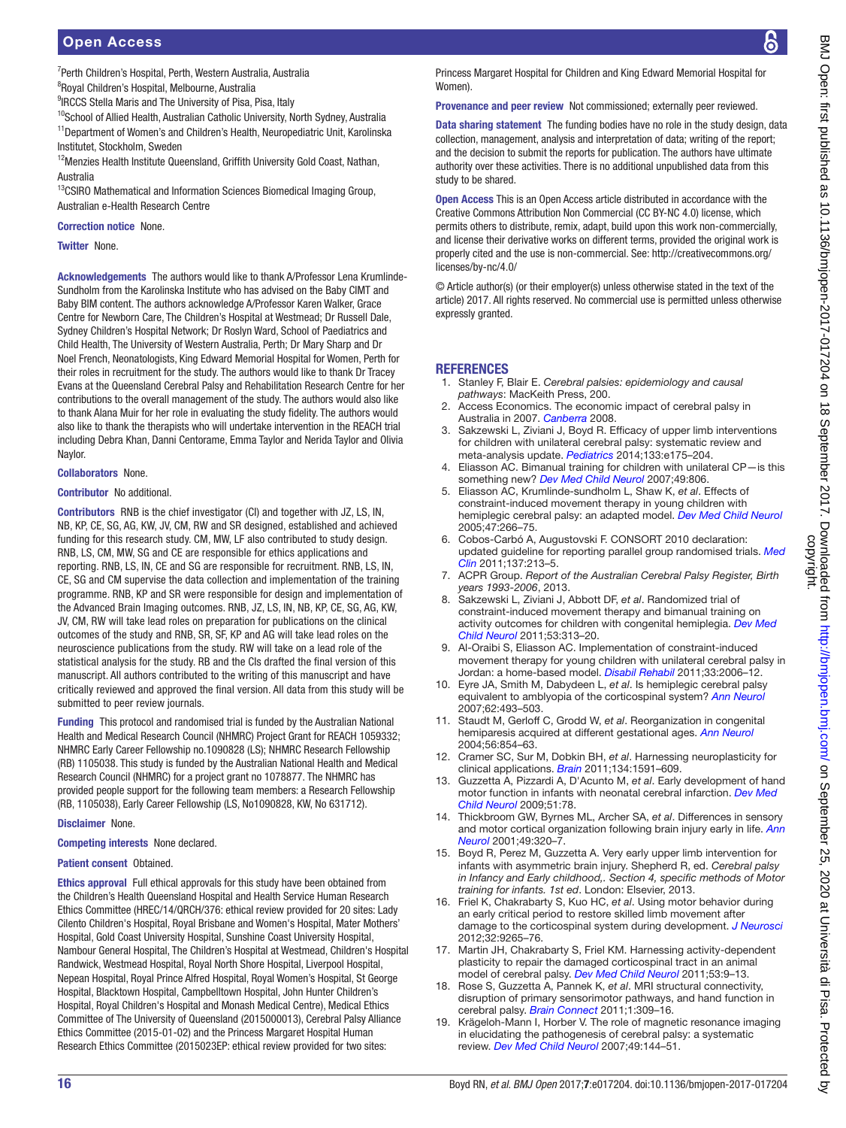7 Perth Children's Hospital, Perth, Western Australia, Australia 8 Royal Children's Hospital, Melbourne, Australia

<sup>9</sup>IRCCS Stella Maris and The University of Pisa, Pisa, Italy

<sup>10</sup>School of Allied Health, Australian Catholic University, North Sydney, Australia <sup>11</sup> Department of Women's and Children's Health, Neuropediatric Unit, Karolinska Institutet, Stockholm, Sweden

<sup>12</sup>Menzies Health Institute Queensland, Griffith University Gold Coast, Nathan, Australia

<sup>13</sup>CSIRO Mathematical and Information Sciences Biomedical Imaging Group, Australian e-Health Research Centre

Correction notice None.

Twitter None.

Acknowledgements The authors would like to thank A/Professor Lena Krumlinde-Sundholm from the Karolinska Institute who has advised on the Baby CIMT and Baby BIM content. The authors acknowledge A/Professor Karen Walker, Grace Centre for Newborn Care, The Children's Hospital at Westmead; Dr Russell Dale, Sydney Children's Hospital Network; Dr Roslyn Ward, School of Paediatrics and Child Health, The University of Western Australia, Perth; Dr Mary Sharp and Dr Noel French, Neonatologists, King Edward Memorial Hospital for Women, Perth for their roles in recruitment for the study. The authors would like to thank Dr Tracey Evans at the Queensland Cerebral Palsy and Rehabilitation Research Centre for her contributions to the overall management of the study. The authors would also like to thank Alana Muir for her role in evaluating the study fidelity. The authors would also like to thank the therapists who will undertake intervention in the REACH trial including Debra Khan, Danni Centorame, Emma Taylor and Nerida Taylor and Olivia Naylor.

#### Collaborators None.

#### Contributor No additional.

Contributors RNB is the chief investigator (CI) and together with JZ, LS, IN, NB, KP, CE, SG, AG, KW, JV, CM, RW and SR designed, established and achieved funding for this research study. CM, MW, LF also contributed to study design. RNB, LS, CM, MW, SG and CE are responsible for ethics applications and reporting. RNB, LS, IN, CE and SG are responsible for recruitment. RNB, LS, IN, CE, SG and CM supervise the data collection and implementation of the training programme. RNB, KP and SR were responsible for design and implementation of the Advanced Brain Imaging outcomes. RNB, JZ, LS, IN, NB, KP, CE, SG, AG, KW, JV, CM, RW will take lead roles on preparation for publications on the clinical outcomes of the study and RNB, SR, SF, KP and AG will take lead roles on the neuroscience publications from the study. RW will take on a lead role of the statistical analysis for the study. RB and the CIs drafted the final version of this manuscript. All authors contributed to the writing of this manuscript and have critically reviewed and approved the final version. All data from this study will be submitted to peer review journals.

Funding This protocol and randomised trial is funded by the Australian National Health and Medical Research Council (NHMRC) Project Grant for REACH 1059332; NHMRC Early Career Fellowship no.1090828 (LS); NHMRC Research Fellowship (RB) 1105038. This study is funded by the Australian National Health and Medical Research Council (NHMRC) for a project grant no 1078877. The NHMRC has provided people support for the following team members: a Research Fellowship (RB, 1105038), Early Career Fellowship (LS, No1090828, KW, No 631712).

#### Disclaimer None.

Competing interests None declared.

#### Patient consent Obtained.

Ethics approval Full ethical approvals for this study have been obtained from the Children's Health Queensland Hospital and Health Service Human Research Ethics Committee (HREC/14/QRCH/376: ethical review provided for 20 sites: Lady Cilento Children's Hospital, Royal Brisbane and Women's Hospital, Mater Mothers' Hospital, Gold Coast University Hospital, Sunshine Coast University Hospital, Nambour General Hospital, The Children's Hospital at Westmead, Children's Hospital Randwick, Westmead Hospital, Royal North Shore Hospital, Liverpool Hospital, Nepean Hospital, Royal Prince Alfred Hospital, Royal Women's Hospital, St George Hospital, Blacktown Hospital, Campbelltown Hospital, John Hunter Children's Hospital, Royal Children's Hospital and Monash Medical Centre), Medical Ethics Committee of The University of Queensland (2015000013), Cerebral Palsy Alliance Ethics Committee (2015-01-02) and the Princess Margaret Hospital Human Research Ethics Committee (2015023EP: ethical review provided for two sites:

Princess Margaret Hospital for Children and King Edward Memorial Hospital for Women).

Provenance and peer review Not commissioned; externally peer reviewed.

Data sharing statement. The funding bodies have no role in the study design, data collection, management, analysis and interpretation of data; writing of the report; and the decision to submit the reports for publication. The authors have ultimate authority over these activities. There is no additional unpublished data from this study to be shared.

Open Access This is an Open Access article distributed in accordance with the Creative Commons Attribution Non Commercial (CC BY-NC 4.0) license, which permits others to distribute, remix, adapt, build upon this work non-commercially, and license their derivative works on different terms, provided the original work is properly cited and the use is non-commercial. See: [http://creativecommons.org/](http://creativecommons.org/licenses/by-nc/4.0/) [licenses/by-nc/4.0/](http://creativecommons.org/licenses/by-nc/4.0/)

© Article author(s) (or their employer(s) unless otherwise stated in the text of the article) 2017. All rights reserved. No commercial use is permitted unless otherwise expressly granted.

# **REFERENCES**

- <span id="page-15-0"></span>1. Stanley F, Blair E. *Cerebral palsies: epidemiology and causal pathways*: MacKeith Press, 200.
- <span id="page-15-1"></span>2. Access Economics. The economic impact of cerebral palsy in Australia in 2007. *Canberra* 2008.
- <span id="page-15-2"></span>3. Sakzewski L, Ziviani J, Boyd R. Efficacy of upper limb interventions for children with unilateral cerebral palsy: systematic review and meta-analysis update. *Pediatrics* 2014;133:e175–204.
- <span id="page-15-3"></span>4. Eliasson AC. Bimanual training for children with unilateral CP—is this something new? *[Dev Med Child Neurol](http://dx.doi.org/10.1111/j.1469-8749.2007.00806.x)* 2007;49:806.
- <span id="page-15-4"></span>5. Eliasson AC, Krumlinde-sundholm L, Shaw K, *et al*. Effects of constraint-induced movement therapy in young children with hemiplegic cerebral palsy: an adapted model. *[Dev Med Child Neurol](http://dx.doi.org/10.1017/S0012162205000502)* 2005;47:266–75.
- <span id="page-15-5"></span>6. Cobos-Carbó A, Augustovski F. CONSORT 2010 declaration: updated guideline for reporting parallel group randomised trials. *[Med](http://dx.doi.org/10.1016/j.medcli.2010.09.034)  [Clin](http://dx.doi.org/10.1016/j.medcli.2010.09.034)* 2011;137:213–5.
- <span id="page-15-6"></span>7. ACPR Group. *Report of the Australian Cerebral Palsy Register, Birth years 1993-2006*, 2013.
- <span id="page-15-7"></span>8. Sakzewski L, Ziviani J, Abbott DF, *et al*. Randomized trial of constraint-induced movement therapy and bimanual training on activity outcomes for children with congenital hemiplegia. *[Dev Med](http://dx.doi.org/10.1111/j.1469-8749.2010.03859.x)  [Child Neurol](http://dx.doi.org/10.1111/j.1469-8749.2010.03859.x)* 2011;53:313–20.
- <span id="page-15-8"></span>9. Al-Oraibi S, Eliasson AC. Implementation of constraint-induced movement therapy for young children with unilateral cerebral palsy in Jordan: a home-based model. *[Disabil Rehabil](http://dx.doi.org/10.3109/09638288.2011.555594)* 2011;33:2006–12.
- <span id="page-15-9"></span>10. Eyre JA, Smith M, Dabydeen L, *et al*. Is hemiplegic cerebral palsy equivalent to amblyopia of the corticospinal system? *[Ann Neurol](http://dx.doi.org/10.1002/ana.21108)* 2007;62:493–503.
- <span id="page-15-10"></span>11. Staudt M, Gerloff C, Grodd W, *et al*. Reorganization in congenital hemiparesis acquired at different gestational ages. *[Ann Neurol](http://dx.doi.org/10.1002/ana.20297)* 2004;56:854–63.
- <span id="page-15-11"></span>12. Cramer SC, Sur M, Dobkin BH, *et al*. Harnessing neuroplasticity for clinical applications. *[Brain](http://dx.doi.org/10.1093/brain/awr039)* 2011;134:1591–609.
- <span id="page-15-12"></span>13. Guzzetta A, Pizzardi A, D'Acunto M, *et al*. Early development of hand motor function in infants with neonatal cerebral infarction. *Dev Med Child Neurol* 2009;51:78.
- 14. Thickbroom GW, Byrnes ML, Archer SA, *et al*. Differences in sensory and motor cortical organization following brain injury early in life. *[Ann](http://dx.doi.org/10.1002/ana.68)  [Neurol](http://dx.doi.org/10.1002/ana.68)* 2001;49:320–7.
- <span id="page-15-13"></span>15. Boyd R, Perez M, Guzzetta A. Very early upper limb intervention for infants with asymmetric brain injury. Shepherd R, ed. *Cerebral palsy in Infancy and Early childhood,. Section 4, specific methods of Motor training for infants. 1st ed*. London: Elsevier, 2013.
- <span id="page-15-14"></span>16. Friel K, Chakrabarty S, Kuo HC, *et al*. Using motor behavior during an early critical period to restore skilled limb movement after damage to the corticospinal system during development. *[J Neurosci](http://dx.doi.org/10.1523/JNEUROSCI.1198-12.2012)* 2012;32:9265–76.
- <span id="page-15-15"></span>17. Martin JH, Chakrabarty S, Friel KM. Harnessing activity-dependent plasticity to repair the damaged corticospinal tract in an animal model of cerebral palsy. *[Dev Med Child Neurol](http://dx.doi.org/10.1111/j.1469-8749.2011.04055.x)* 2011;53:9–13.
- <span id="page-15-16"></span>18. Rose S, Guzzetta A, Pannek K, *et al*. MRI structural connectivity, disruption of primary sensorimotor pathways, and hand function in cerebral palsy. *[Brain Connect](http://dx.doi.org/10.1089/brain.2011.0034)* 2011;1:309–16.
- <span id="page-15-17"></span>19. Krägeloh-Mann I, Horber V. The role of magnetic resonance imaging in elucidating the pathogenesis of cerebral palsy: a systematic review. *[Dev Med Child Neurol](http://dx.doi.org/10.1111/j.1469-8749.2007.00144.x)* 2007;49:144–51.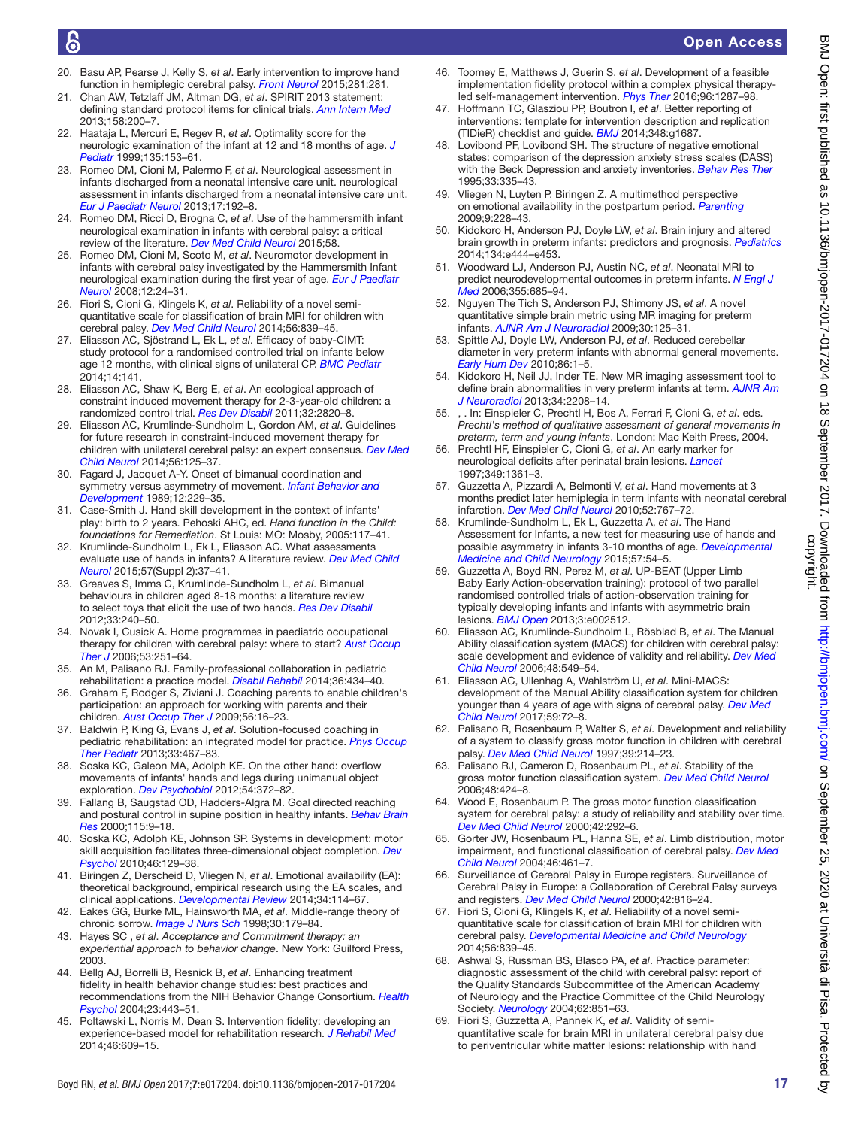#### <span id="page-16-0"></span>20. Basu AP, Pearse J, Kelly S, *et al*. Early intervention to improve hand function in hemiplegic cerebral palsy. *[Front Neurol](http://dx.doi.org/10.3389/fneur.2014.00281)* 2015;281:281.

- <span id="page-16-1"></span>21. Chan AW, Tetzlaff JM, Altman DG, *et al*. SPIRIT 2013 statement: defining standard protocol items for clinical trials. *[Ann Intern Med](http://dx.doi.org/10.7326/0003-4819-158-3-201302050-00583)* 2013;158:200–7.
- <span id="page-16-2"></span>22. Haataja L, Mercuri E, Regev R, *et al*. Optimality score for the neurologic examination of the infant at 12 and 18 months of age. *[J](http://dx.doi.org/10.1016/S0022-3476(99)70016-8)  [Pediatr](http://dx.doi.org/10.1016/S0022-3476(99)70016-8)* 1999;135:153–61.
- <span id="page-16-40"></span>23. Romeo DM, Cioni M, Palermo F, *et al*. Neurological assessment in infants discharged from a neonatal intensive care unit. neurological assessment in infants discharged from a neonatal intensive care unit. *Eur J Paediatr Neurol* 2013;17:192–8.
- 24. Romeo DM, Ricci D, Brogna C, *et al*. Use of the hammersmith infant neurological examination in infants with cerebral palsy: a critical review of the literature. *[Dev Med Child Neurol](http://dx.doi.org/10.1111/dmcn.12876)* 2015;58.
- 25. Romeo DM, Cioni M, Scoto M, *et al*. Neuromotor development in infants with cerebral palsy investigated by the Hammersmith Infant neurological examination during the first year of age. *[Eur J Paediatr](http://dx.doi.org/10.1016/j.ejpn.2007.05.006)  [Neurol](http://dx.doi.org/10.1016/j.ejpn.2007.05.006)* 2008;12:24–31.
- <span id="page-16-3"></span>26. Fiori S, Cioni G, Klingels K, *et al*. Reliability of a novel semiquantitative scale for classification of brain MRI for children with cerebral palsy. *Dev Med Child Neurol* 2014;56:839–45.
- <span id="page-16-4"></span>27. Eliasson AC, Sjöstrand L, Ek L, *et al*. Efficacy of baby-CIMT: study protocol for a randomised controlled trial on infants below age 12 months, with clinical signs of unilateral CP. *[BMC Pediatr](http://dx.doi.org/10.1186/1471-2431-14-141)* 2014;14:141.
- <span id="page-16-5"></span>28. Eliasson AC, Shaw K, Berg E, *et al*. An ecological approach of constraint induced movement therapy for 2-3-year-old children: a randomized control trial. *[Res Dev Disabil](http://dx.doi.org/10.1016/j.ridd.2011.05.024)* 2011;32:2820–8.
- 29. Eliasson AC, Krumlinde-Sundholm L, Gordon AM, *et al*. Guidelines for future research in constraint-induced movement therapy for children with unilateral cerebral palsy: an expert consensus. *[Dev Med](http://dx.doi.org/10.1111/dmcn.12273) [Child Neurol](http://dx.doi.org/10.1111/dmcn.12273)* 2014;56:125–37.
- <span id="page-16-6"></span>30. Fagard J, Jacquet A-Y. Onset of bimanual coordination and symmetry versus asymmetry of movement. *[Infant Behavior and](http://dx.doi.org/10.1016/0163-6383(89)90009-X)  [Development](http://dx.doi.org/10.1016/0163-6383(89)90009-X)* 1989;12:229–35.
- <span id="page-16-7"></span>31. Case-Smith J. Hand skill development in the context of infants' play: birth to 2 years. Pehoski AHC, ed. *Hand function in the Child: foundations for Remediation*. St Louis: MO: Mosby, 2005:117–41.
- <span id="page-16-8"></span>32. Krumlinde-Sundholm L, Ek L, Eliasson AC. What assessments evaluate use of hands in infants? A literature review. *[Dev Med Child](http://dx.doi.org/10.1111/dmcn.12684)  [Neurol](http://dx.doi.org/10.1111/dmcn.12684)* 2015;57(Suppl 2):37–41.
- <span id="page-16-9"></span>33. Greaves S, Imms C, Krumlinde-Sundholm L, *et al*. Bimanual behaviours in children aged 8-18 months: a literature review to select toys that elicit the use of two hands. *[Res Dev Disabil](http://dx.doi.org/10.1016/j.ridd.2011.09.012)* 2012;33:240–50.
- <span id="page-16-10"></span>34. Novak I, Cusick A. Home programmes in paediatric occupational therapy for children with cerebral palsy: where to start? *[Aust Occup](http://dx.doi.org/10.1111/j.1440-1630.2006.00577.x)  [Ther J](http://dx.doi.org/10.1111/j.1440-1630.2006.00577.x)* 2006;53:251–64.
- <span id="page-16-11"></span>35. An M, Palisano RJ. Family-professional collaboration in pediatric rehabilitation: a practice model. *[Disabil Rehabil](http://dx.doi.org/10.3109/09638288.2013.797510)* 2014;36:434–40.
- <span id="page-16-12"></span>36. Graham F, Rodger S, Ziviani J. Coaching parents to enable children's participation: an approach for working with parents and their children. *[Aust Occup Ther J](http://dx.doi.org/10.1111/j.1440-1630.2008.00736.x)* 2009;56:16–23.
- <span id="page-16-13"></span>37. Baldwin P, King G, Evans J, *et al*. Solution-focused coaching in pediatric rehabilitation: an integrated model for practice. *[Phys Occup](http://dx.doi.org/10.3109/01942638.2013.784718)  [Ther Pediatr](http://dx.doi.org/10.3109/01942638.2013.784718)* 2013;33:467–83.
- <span id="page-16-14"></span>38. Soska KC, Galeon MA, Adolph KE. On the other hand: overflow movements of infants' hands and legs during unimanual object exploration. *[Dev Psychobiol](http://dx.doi.org/10.1002/dev.20595)* 2012;54:372–82.
- <span id="page-16-15"></span>39. Fallang B, Saugstad OD, Hadders-Algra M. Goal directed reaching and postural control in supine position in healthy infants. *[Behav Brain](http://dx.doi.org/10.1016/S0166-4328(00)00231-X)  [Res](http://dx.doi.org/10.1016/S0166-4328(00)00231-X)* 2000;115:9–18.
- 40. Soska KC, Adolph KE, Johnson SP. Systems in development: motor skill acquisition facilitates three-dimensional object completion. *[Dev](http://dx.doi.org/10.1037/a0014618)  [Psychol](http://dx.doi.org/10.1037/a0014618)* 2010;46:129–38.
- <span id="page-16-16"></span>41. Biringen Z, Derscheid D, Vliegen N, *et al*. Emotional availability (EA): theoretical background, empirical research using the EA scales, and clinical applications. *[Developmental Review](http://dx.doi.org/10.1016/j.dr.2014.01.002)* 2014;34:114–67.
- <span id="page-16-17"></span>42. Eakes GG, Burke ML, Hainsworth MA, *et al*. Middle-range theory of chronic sorrow. *[Image J Nurs Sch](http://dx.doi.org/10.1111/j.1547-5069.1998.tb01276.x)* 1998;30:179–84.
- <span id="page-16-18"></span>43. Hayes SC , *et al*. *Acceptance and Commitment therapy: an experiential approach to behavior change*. New York: Guilford Press, 2003.
- <span id="page-16-19"></span>44. Bellg AJ, Borrelli B, Resnick B, *et al*. Enhancing treatment fidelity in health behavior change studies: best practices and recommendations from the NIH Behavior Change Consortium. *[Health](http://dx.doi.org/10.1037/0278-6133.23.5.443) [Psychol](http://dx.doi.org/10.1037/0278-6133.23.5.443)* 2004;23:443–51.
- <span id="page-16-20"></span>45. Poltawski L, Norris M, Dean S. Intervention fidelity: developing an experience-based model for rehabilitation research. *[J Rehabil Med](http://dx.doi.org/10.2340/16501977-1848)* 2014;46:609–15.
- 46. Toomey E, Matthews J, Guerin S, *et al*. Development of a feasible implementation fidelity protocol within a complex physical therapyled self-management intervention. *[Phys Ther](http://dx.doi.org/10.2522/ptj.20150446)* 2016;96:1287–98.
- <span id="page-16-21"></span>47. Hoffmann TC, Glasziou PP, Boutron I, *et al*. Better reporting of interventions: template for intervention description and replication (TIDieR) checklist and guide. *[BMJ](http://dx.doi.org/10.1136/bmj.g1687)* 2014;348:g1687.
- <span id="page-16-22"></span>48. Lovibond PF, Lovibond SH. The structure of negative emotional states: comparison of the depression anxiety stress scales (DASS) with the Beck Depression and anxiety inventories. *[Behav Res Ther](http://dx.doi.org/10.1016/0005-7967(94)00075-U)* 1995;33:335–43.
- <span id="page-16-23"></span>49. Vliegen N, Luyten P, Biringen Z. A multimethod perspective on emotional availability in the postpartum period. *[Parenting](http://dx.doi.org/10.1080/15295190902844514)* 2009;9:228–43.
- <span id="page-16-24"></span>50. Kidokoro H, Anderson PJ, Doyle LW, *et al*. Brain injury and altered brain growth in preterm infants: predictors and prognosis. *[Pediatrics](http://dx.doi.org/10.1542/peds.2013-2336)* 2014;134:e444–e453.
- 51. Woodward LJ, Anderson PJ, Austin NC, *et al*. Neonatal MRI to predict neurodevelopmental outcomes in preterm infants. *[N Engl J](http://dx.doi.org/10.1056/NEJMoa053792)  [Med](http://dx.doi.org/10.1056/NEJMoa053792)* 2006;355:685–94.
- <span id="page-16-25"></span>52. Nguyen The Tich S, Anderson PJ, Shimony JS, *et al*. A novel quantitative simple brain metric using MR imaging for preterm infants. *[AJNR Am J Neuroradiol](http://dx.doi.org/10.3174/ajnr.A1309)* 2009;30:125–31.
- 53. Spittle AJ, Doyle LW, Anderson PJ, *et al*. Reduced cerebellar diameter in very preterm infants with abnormal general movements. *[Early Hum Dev](http://dx.doi.org/10.1016/j.earlhumdev.2009.11.002)* 2010;86:1–5.
- 54. Kidokoro H, Neil JJ, Inder TE. New MR imaging assessment tool to define brain abnormalities in very preterm infants at term. *[AJNR Am](http://dx.doi.org/10.3174/ajnr.A3521)  [J Neuroradiol](http://dx.doi.org/10.3174/ajnr.A3521)* 2013;34:2208–14.
- <span id="page-16-26"></span>55. , . In: Einspieler C, Prechtl H, Bos A, Ferrari F, Cioni G, *et al*. eds. *Prechtl's method of qualitative assessment of general movements in preterm, term and young infants*. London: Mac Keith Press, 2004.
- 56. Prechtl HF, Einspieler C, Cioni G, *et al*. An early marker for neurological deficits after perinatal brain lesions. *[Lancet](http://dx.doi.org/10.1016/S0140-6736(96)10182-3)* 1997;349:1361–3.
- <span id="page-16-27"></span>57. Guzzetta A, Pizzardi A, Belmonti V, *et al*. Hand movements at 3 months predict later hemiplegia in term infants with neonatal cerebral infarction. *[Dev Med Child Neurol](http://dx.doi.org/10.1111/j.1469-8749.2009.03497.x)* 2010;52:767–72.
- <span id="page-16-28"></span>58. Krumlinde-Sundholm L, Ek L, Guzzetta A, *et al*. The Hand Assessment for Infants, a new test for measuring use of hands and possible asymmetry in infants 3-10 months of age. *Developmental Medicine and Child Neurology* 2015;57:54–5.
- <span id="page-16-29"></span>59. Guzzetta A, Boyd RN, Perez M, *et al*. UP-BEAT (Upper Limb Baby Early Action-observation training): protocol of two parallel randomised controlled trials of action-observation training for typically developing infants and infants with asymmetric brain lesions. *[BMJ Open](http://dx.doi.org/10.1136/bmjopen-2012-002512)* 2013;3:e002512.
- <span id="page-16-30"></span>60. Eliasson AC, Krumlinde-Sundholm L, Rösblad B, *et al*. The Manual Ability classification system (MACS) for children with cerebral palsy: scale development and evidence of validity and reliability. *[Dev Med](http://dx.doi.org/10.1017/S0012162206001162)  [Child Neurol](http://dx.doi.org/10.1017/S0012162206001162)* 2006;48:549–54.
- <span id="page-16-31"></span>61. Eliasson AC, Ullenhag A, Wahlström U, *et al*. Mini-MACS: development of the Manual Ability classification system for children younger than 4 years of age with signs of cerebral palsy. *[Dev Med](http://dx.doi.org/10.1111/dmcn.13162)  [Child Neurol](http://dx.doi.org/10.1111/dmcn.13162)* 2017;59:72–8.
- <span id="page-16-32"></span>62. Palisano R, Rosenbaum P, Walter S, *et al*. Development and reliability of a system to classify gross motor function in children with cerebral palsy. *[Dev Med Child Neurol](http://dx.doi.org/10.1111/j.1469-8749.1997.tb07414.x)* 1997;39:214–23.
- <span id="page-16-33"></span>63. Palisano RJ, Cameron D, Rosenbaum PL, *et al*. Stability of the gross motor function classification system. *[Dev Med Child Neurol](http://dx.doi.org/10.1017/S0012162206000934)* 2006;48:424–8.
- <span id="page-16-34"></span>64. Wood E, Rosenbaum P. The gross motor function classification system for cerebral palsy: a study of reliability and stability over time. *[Dev Med Child Neurol](http://dx.doi.org/10.1017/S0012162200000529)* 2000;42:292–6.
- <span id="page-16-35"></span>65. Gorter JW, Rosenbaum PL, Hanna SE, *et al*. Limb distribution, motor impairment, and functional classification of cerebral palsy. *[Dev Med](http://dx.doi.org/10.1111/j.1469-8749.2004.tb00506.x)  [Child Neurol](http://dx.doi.org/10.1111/j.1469-8749.2004.tb00506.x)* 2004;46:461–7.
- <span id="page-16-36"></span>66. Surveillance of Cerebral Palsy in Europe registers. Surveillance of Cerebral Palsy in Europe: a Collaboration of Cerebral Palsy surveys and registers. *Dev Med Child Neurol* 2000;42:816–24.
- <span id="page-16-37"></span>67. Fiori S, Cioni G, Klingels K, *et al*. Reliability of a novel semiquantitative scale for classification of brain MRI for children with cerebral palsy. *Developmental Medicine and Child Neurology* 2014;56:839–45.
- <span id="page-16-38"></span>68. Ashwal S, Russman BS, Blasco PA, *et al*. Practice parameter: diagnostic assessment of the child with cerebral palsy: report of the Quality Standards Subcommittee of the American Academy of Neurology and the Practice Committee of the Child Neurology Society. *[Neurology](http://dx.doi.org/10.1212/01.WNL.0000117981.35364.1B)* 2004;62:851–63.
- <span id="page-16-39"></span>69. Fiori S, Guzzetta A, Pannek K, *et al*. Validity of semiquantitative scale for brain MRI in unilateral cerebral palsy due to periventricular white matter lesions: relationship with hand